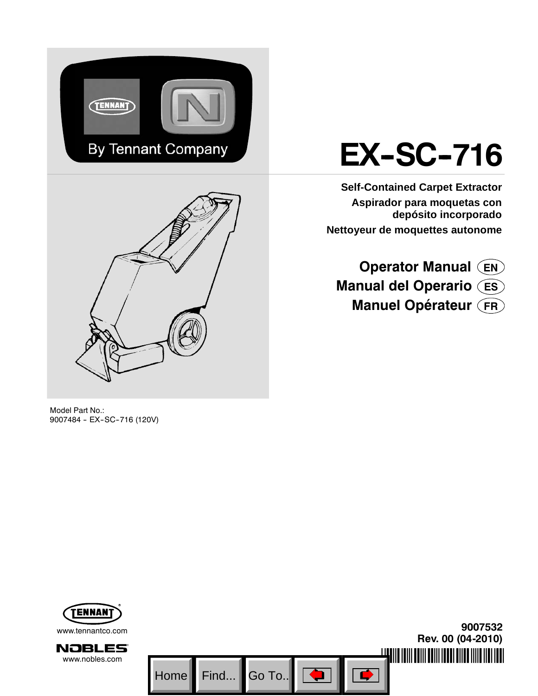

# **EX-SC-716**

**Self-Contained Carpet Extractor Aspirador para moquetas con depósito incorporado Nettoyeur de moquettes autonome**

**Operator Manual EN Manual del Operario ES Manuel Opérateur FR**

Model Part No.: 9007484 - EX-SC-716 (120V)

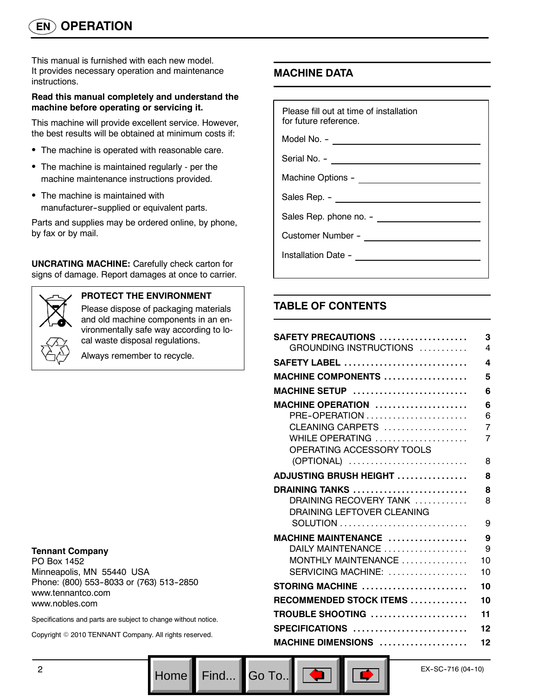This manual is furnished with each new model. It provides necessary operation and maintenance instructions.

## **Read this manual completely and understand the machine before operating or servicing it.**

This machine will provide excellent service. However, the best results will be obtained at minimum costs if:

- The machine is operated with reasonable care.
- The machine is maintained regularly per the machine maintenance instructions provided.
- The machine is maintained with manufacturer--supplied or equivalent parts.

Parts and supplies may be ordered online, by phone, by fax or by mail.

**UNCRATING MACHINE:** Carefully check carton for signs of damage. Report damages at once to carrier.



## **PROTECT THE ENVIRONMENT**

Please dispose of packaging materials and old machine components in an environmentally safe way according to local waste disposal regulations.

Always remember to recycle.

## **Tennant Company**

PO Box 1452 Minneapolis, MN 55440 USA Phone: (800) 553-8033 or (763) 513-2850 www.tennantco.com www.nobles.com

Specifications and parts are subject to change without notice.

Copyright © 2010 TENNANT Company. All rights reserved.

## **MACHINE DATA**

| Please fill out at time of installation<br>for future reference. |
|------------------------------------------------------------------|
| Model No. - __________________________________                   |
|                                                                  |
|                                                                  |
| Sales Rep. - ________________________                            |
|                                                                  |
|                                                                  |
| Installation Date - <u>_________________________________</u>     |
|                                                                  |

## **TABLE OF CONTENTS**

Go To.. $\|$ 

| SAFETY PRECAUTIONS<br>GROUNDING INSTRUCTIONS | 3<br>4 |
|----------------------------------------------|--------|
|                                              |        |
| <b>SAFETY LABEL</b>                          | 4      |
| <b>MACHINE COMPONENTS </b>                   | 5      |
| MACHINE SETUP                                | 6      |
| MACHINE OPERATION                            | 6      |
| PRE-OPERATION                                | 6      |
| CLEANING CARPETS                             | 7      |
| WHILE OPERATING                              | 7      |
| OPERATING ACCESSORY TOOLS                    |        |
| (OPTIONAL)                                   | 8      |
| <b>ADJUSTING BRUSH HEIGHT </b>               | 8      |
| DRAINING TANKS                               | 8      |
| DRAINING RECOVERY TANK                       | 8      |
| DRAINING LEFTOVER CLEANING                   |        |
|                                              | 9      |
| MACHINE MAINTENANCE                          | 9      |
| DAILY MAINTENANCE                            | 9      |
| MONTHLY MAINTENANCE                          | 10     |
| SERVICING MACHINE:                           | 10     |
| STORING MACHINE                              | 10     |
| RECOMMENDED STOCK ITEMS                      | 10     |
| TROUBLE SHOOTING                             | 11     |
| SPECIFICATIONS                               | 12     |
| MACHINE DIMENSIONS                           | 12     |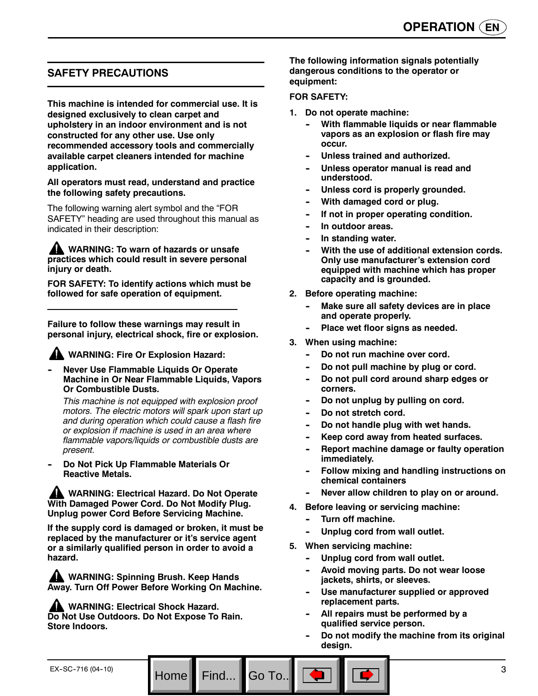## **SAFETY PRECAUTIONS**

**This machine is intended for commercial use. It is designed exclusively to clean carpet and upholstery in an indoor environment and is not constructed for any other use. Use only recommended accessory tools and commercially available carpet cleaners intended for machine application.**

#### **All operators must read, understand and practice the following safety precautions.**

The following warning alert symbol and the "FOR SAFETY" heading are used throughout this manual as indicated in their description:

**WARNING: To warn of hazards or unsafe practices which could result in severe personal injury or death.**

**FOR SAFETY: To identify actions which must be followed for safe operation of equipment.**

**Failure to follow these warnings may result in personal injury, electrical shock, fire or explosion.**

## **WARNING: Fire Or Explosion Hazard:**

**Never Use Flammable Liquids Or Operate Machine in Or Near Flammable Liquids, Vapors Or Combustible Dusts.**

*This machine is not equipped with explosion proof motors. The electric motors will spark upon start up and during operation which could cause a flash fire or explosion if machine is used in an area where flammable vapors/liquids or combustible dusts are present.*

**Do Not Pick Up Flammable Materials Or Reactive Metals.**

**WARNING: Electrical Hazard. Do Not Operate With Damaged Power Cord. Do Not Modify Plug. Unplug power Cord Before Servicing Machine.**

**If the supply cord is damaged or broken, it must be replaced by the manufacturer or it's service agent or a similarly qualified person in order to avoid a hazard.**

**WARNING: Spinning Brush. Keep Hands Away. Turn Off Power Before Working On Machine.**

Home Find... Go To.

**A WARNING: Electrical Shock Hazard. Do Not Use Outdoors. Do Not Expose To Rain. Store Indoors.**

**The following information signals potentially dangerous conditions to the operator or equipment:**

#### **FOR SAFETY:**

- **1. Do not operate machine:**
	- **With flammable liquids or near flammable vapors as an explosion or flash fire may occur.**
	- Unless trained and authorized.
	- Unless operator manual is read and **understood.**
	- Unless cord is properly grounded.
	- **With damaged cord or plug.**
	- **If not in proper operating condition.**
	- In outdoor areas.
	- **In standing water.**
	- With the use of additional extension cords. **Only use manufacturer's extension cord equipped with machine which has proper capacity and is grounded.**
- **2. Before operating machine:**
	- **Make sure all safety devices are in place and operate properly.**
	- Place wet floor signs as needed.
- **3. When using machine:**
	- **-- Do not run machine over cord.**
	- Do not pull machine by plug or cord.
	- Do not pull cord around sharp edges or **corners.**
	- Do not unplug by pulling on cord.
	- Do not stretch cord.
	- Do not handle plug with wet hands.
	- Keep cord away from heated surfaces.
	- **Report machine damage or faulty operation immediately.**
	- **Follow mixing and handling instructions on chemical containers**
	- Never allow children to play on or around.
- **4. Before leaving or servicing machine:**
	- **Turn off machine.**
	- Unplug cord from wall outlet.
- **5. When servicing machine:**
	- **-- Unplug cord from wall outlet.**
	- Avoid moving parts. Do not wear loose **jackets, shirts, or sleeves.**
	- Use manufacturer supplied or approved **replacement parts.**
	- All repairs must be performed by a **qualified service person.**
	- Do not modify the machine from its original **design.**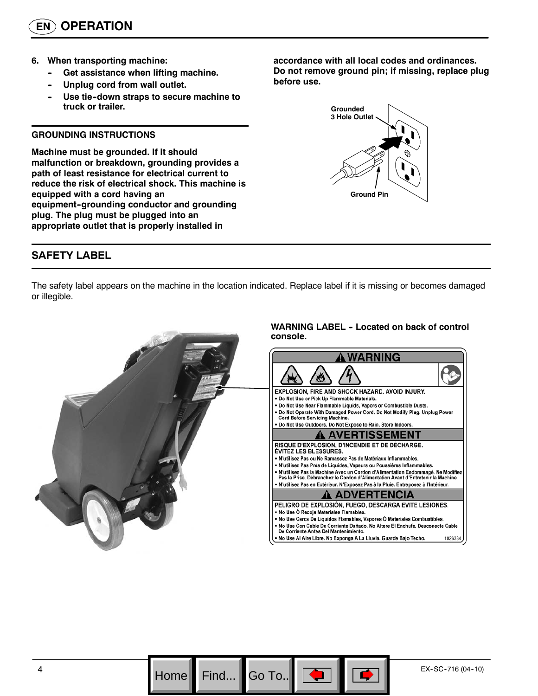- **6. When transporting machine:**
	- **Get assistance when lifting machine.**
	- Unplug cord from wall outlet.
	- Use tie-down straps to secure machine to **truck or trailer.**

#### **GROUNDING INSTRUCTIONS**

**Machine must be grounded. If it should malfunction or breakdown, grounding provides a path of least resistance for electrical current to reduce the risk of electrical shock. This machine is equipped with a cord having an** equipment-grounding conductor and grounding **plug. The plug must be plugged into an appropriate outlet that is properly installed in**

**SAFETY LABEL**

**accordance with all local codes and ordinances. Do not remove ground pin; if missing, replace plug before use.**



The safety label appears on the machine in the location indicated. Replace label if it is missing or becomes damaged or illegible.



Go To.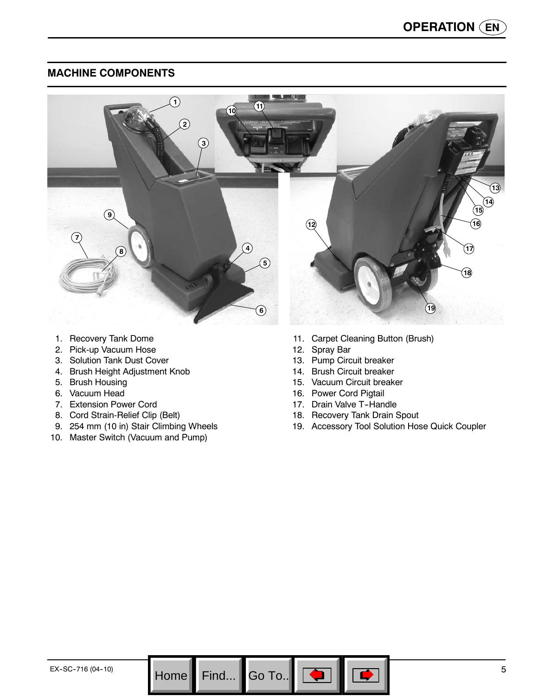## **MACHINE COMPONENTS**



Go To.. $\|$ 

- 1. Recovery Tank Dome
- 2. Pick-up Vacuum Hose
- 3. Solution Tank Dust Cover
- 4. Brush Height Adjustment Knob
- 5. Brush Housing
- 6. Vacuum Head
- 7. Extension Power Cord
- 8. Cord Strain-Relief Clip (Belt)
- 9. 254 mm (10 in) Stair Climbing Wheels
- 10. Master Switch (Vacuum and Pump)
- 11. Carpet Cleaning Button (Brush)
- 12. Spray Bar
- 13. Pump Circuit breaker
- 14. Brush Circuit breaker
- 15. Vacuum Circuit breaker
- 16. Power Cord Pigtail
- 17. Drain Valve T-Handle
- 18. Recovery Tank Drain Spout
- 19. Accessory Tool Solution Hose Quick Coupler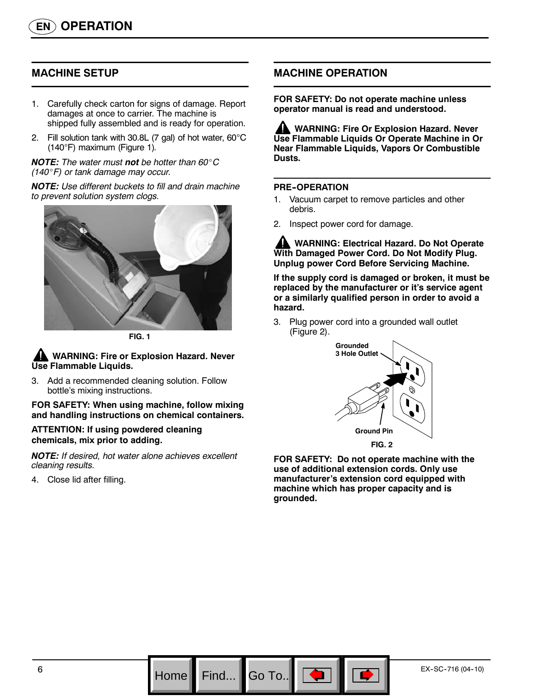## **MACHINE SETUP**

- 1. Carefully check carton for signs of damage. Report damages at once to carrier. The machine is shipped fully assembled and is ready for operation.
- 2. Fill solution tank with 30.8L (7 gal) of hot water, 60°C (140°F) maximum (Figure 1)*.*

*NOTE: The water must not be hotter than 60*\_*C (140*\_*F) or tank damage may occur.*

*NOTE: Use different buckets to fill and drain machine to prevent solution system clogs.*



**FIG. 1**

**WARNING: Fire or Explosion Hazard. Never Use Flammable Liquids.**

3. Add a recommended cleaning solution. Follow bottle's mixing instructions.

**FOR SAFETY: When using machine, follow mixing and handling instructions on chemical containers.**

**ATTENTION: If using powdered cleaning chemicals, mix prior to adding.**

*NOTE: If desired, hot water alone achieves excellent cleaning results.*

4. Close lid after filling.

## **MACHINE OPERATION**

**FOR SAFETY: Do not operate machine unless operator manual is read and understood.**

**AN WARNING: Fire Or Explosion Hazard. Never Use Flammable Liquids Or Operate Machine in Or Near Flammable Liquids, Vapors Or Combustible Dusts.**

#### **PRE--OPERATION**

Go To.

- 1. Vacuum carpet to remove particles and other debris.
- 2. Inspect power cord for damage.

**WARNING: Electrical Hazard. Do Not Operate With Damaged Power Cord. Do Not Modify Plug. Unplug power Cord Before Servicing Machine.**

**If the supply cord is damaged or broken, it must be replaced by the manufacturer or it's service agent or a similarly qualified person in order to avoid a hazard.**

3. Plug power cord into a grounded wall outlet (Figure 2).



**FOR SAFETY: Do not operate machine with the use of additional extension cords. Only use manufacturer's extension cord equipped with machine which has proper capacity and is grounded.**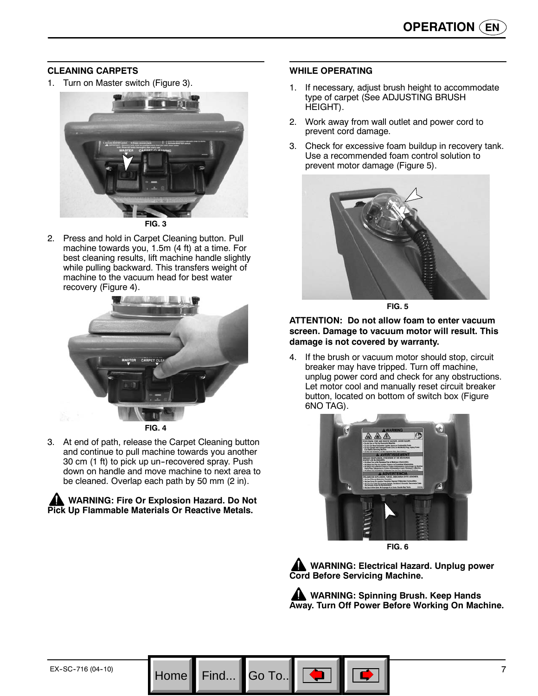## **CLEANING CARPETS**

1. Turn on Master switch (Figure 3).



2. Press and hold in Carpet Cleaning button. Pull machine towards you, 1.5m (4 ft) at a time. For best cleaning results, lift machine handle slightly while pulling backward. This transfers weight of machine to the vacuum head for best water recovery (Figure 4).



3. At end of path, release the Carpet Cleaning button and continue to pull machine towards you another 30 cm (1 ft) to pick up un-recovered spray. Push down on handle and move machine to next area to be cleaned. Overlap each path by 50 mm (2 in).

#### **WARNING: Fire Or Explosion Hazard. Do Not Pick Up Flammable Materials Or Reactive Metals.**

## **WHILE OPERATING**

- 1. If necessary, adjust brush height to accommodate type of carpet (See ADJUSTING BRUSH HEIGHT).
- 2. Work away from wall outlet and power cord to prevent cord damage.
- 3. Check for excessive foam buildup in recovery tank. Use a recommended foam control solution to prevent motor damage (Figure 5).



**FIG. 5**

#### **ATTENTION: Do not allow foam to enter vacuum screen. Damage to vacuum motor will result. This damage is not covered by warranty.**

4. If the brush or vacuum motor should stop, circuit breaker may have tripped. Turn off machine, unplug power cord and check for any obstructions. Let motor cool and manually reset circuit breaker button, located on bottom of switch box (Figure 6NO TAG).



**FIG. 6**

**WARNING: Electrical Hazard. Unplug power Cord Before Servicing Machine.**

**WARNING: Spinning Brush. Keep Hands Away. Turn Off Power Before Working On Machine.**

Go To.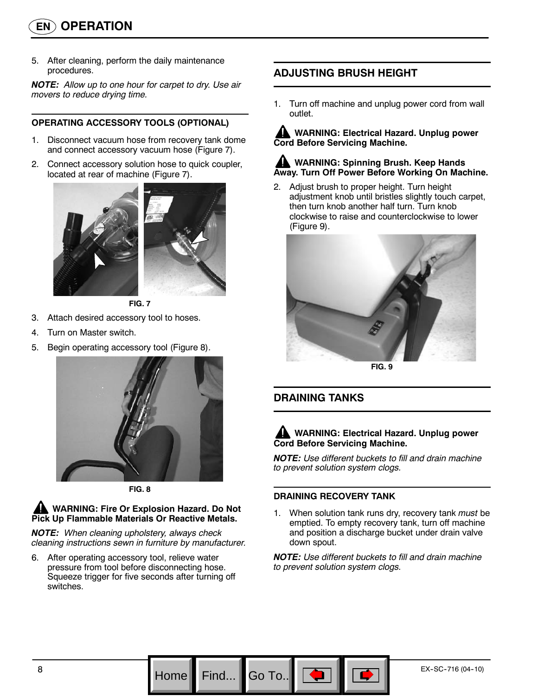# **EN OPERATION**

5. After cleaning, perform the daily maintenance procedures.

*NOTE: Allow up to one hour for carpet to dry. Use air movers to reduce drying time.*

## **OPERATING ACCESSORY TOOLS (OPTIONAL)**

- 1. Disconnect vacuum hose from recovery tank dome and connect accessory vacuum hose (Figure 7).
- 2. Connect accessory solution hose to quick coupler, located at rear of machine (Figure 7).



**FIG. 7**

- 3. Attach desired accessory tool to hoses.
- 4. Turn on Master switch.
- 5. Begin operating accessory tool (Figure 8).



**FIG. 8**

## **WARNING: Fire Or Explosion Hazard. Do Not Pick Up Flammable Materials Or Reactive Metals.**

*NOTE: When cleaning upholstery, always check cleaning instructions sewn in furniture by manufacturer.*

6. After operating accessory tool, relieve water pressure from tool before disconnecting hose. Squeeze trigger for five seconds after turning off switches.

# **ADJUSTING BRUSH HEIGHT**

1. Turn off machine and unplug power cord from wall outlet.

**WARNING: Electrical Hazard. Unplug power Cord Before Servicing Machine.**

## **AN WARNING: Spinning Brush. Keep Hands Away. Turn Off Power Before Working On Machine.**

2. Adjust brush to proper height. Turn height adjustment knob until bristles slightly touch carpet, then turn knob another half turn. Turn knob clockwise to raise and counterclockwise to lower (Figure 9).



**FIG. 9**

## **DRAINING TANKS**

## **WARNING: Electrical Hazard. Unplug power Cord Before Servicing Machine.**

*NOTE: Use different buckets to fill and drain machine to prevent solution system clogs.*

## **DRAINING RECOVERY TANK**

Go To.

1. When solution tank runs dry, recovery tank *must* be emptied. To empty recovery tank, turn off machine and position a discharge bucket under drain valve down spout.

*NOTE: Use different buckets to fill and drain machine to prevent solution system clogs.*

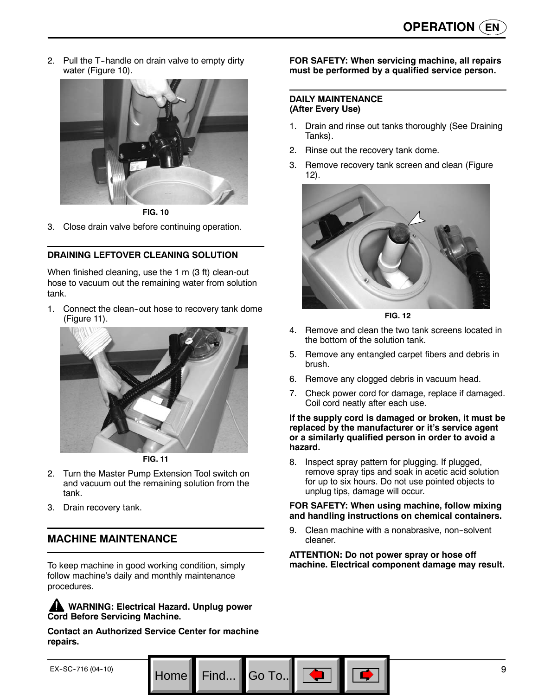2. Pull the T-handle on drain valve to empty dirty water (Figure 10).



**FIG. 10**

3. Close drain valve before continuing operation.

## **DRAINING LEFTOVER CLEANING SOLUTION**

When finished cleaning, use the 1 m (3 ft) clean-out hose to vacuum out the remaining water from solution tank.

1. Connect the clean-out hose to recovery tank dome (Figure 11).



**FIG. 11**

- 2. Turn the Master Pump Extension Tool switch on and vacuum out the remaining solution from the tank.
- 3. Drain recovery tank.

## **MACHINE MAINTENANCE**

To keep machine in good working condition, simply follow machine's daily and monthly maintenance procedures.

**AN** WARNING: Electrical Hazard. Unplug power **Cord Before Servicing Machine.**

**Contact an Authorized Service Center for machine repairs.**

#### **FOR SAFETY: When servicing machine, all repairs must be performed by a qualified service person.**

#### **DAILY MAINTENANCE (After Every Use)**

- 1. Drain and rinse out tanks thoroughly (See Draining Tanks).
- 2. Rinse out the recovery tank dome.
- 3. Remove recovery tank screen and clean (Figure 12).



**FIG. 12**

- 4. Remove and clean the two tank screens located in the bottom of the solution tank.
- 5. Remove any entangled carpet fibers and debris in brush.
- 6. Remove any clogged debris in vacuum head.
- 7. Check power cord for damage, replace if damaged. Coil cord neatly after each use.

#### **If the supply cord is damaged or broken, it must be replaced by the manufacturer or it's service agent or a similarly qualified person in order to avoid a hazard.**

8. Inspect spray pattern for plugging. If plugged, remove spray tips and soak in acetic acid solution for up to six hours. Do not use pointed objects to unplug tips, damage will occur.

#### **FOR SAFETY: When using machine, follow mixing and handling instructions on chemical containers.**

9. Clean machine with a nonabrasive, non-solvent cleaner.

**ATTENTION: Do not power spray or hose off machine. Electrical component damage may result.**

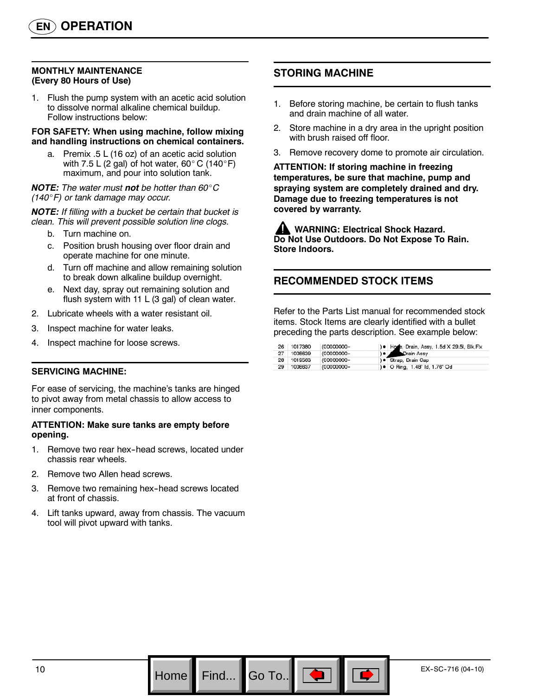## **MONTHLY MAINTENANCE (Every 80 Hours of Use)**

1. Flush the pump system with an acetic acid solution to dissolve normal alkaline chemical buildup. Follow instructions below:

#### **FOR SAFETY: When using machine, follow mixing and handling instructions on chemical containers.**

a. Premix .5 L (16 oz) of an acetic acid solution with 7.5 L (2 gal) of hot water, 60 $^{\circ}$  C (140 $^{\circ}$ F) maximum, and pour into solution tank.

#### *NOTE: The water must not be hotter than 60*\_*C (140*\_*F) or tank damage may occur.*

*NOTE: If filling with a bucket be certain that bucket is clean. This will prevent possible solution line clogs.*

- b. Turn machine on.
- c. Position brush housing over floor drain and operate machine for one minute.
- d. Turn off machine and allow remaining solution to break down alkaline buildup overnight.
- e. Next day, spray out remaining solution and flush system with 11 L (3 gal) of clean water.
- 2. Lubricate wheels with a water resistant oil.
- 3. Inspect machine for water leaks.
- 4. Inspect machine for loose screws.

#### **SERVICING MACHINE:**

For ease of servicing, the machine's tanks are hinged to pivot away from metal chassis to allow access to inner components.

#### **ATTENTION: Make sure tanks are empty before opening.**

- 1. Remove two rear hex--head screws, located under chassis rear wheels.
- 2. Remove two Allen head screws.
- 3. Remove two remaining hex-head screws located at front of chassis.
- 4. Lift tanks upward, away from chassis. The vacuum tool will pivot upward with tanks.

## **STORING MACHINE**

- 1. Before storing machine, be certain to flush tanks and drain machine of all water.
- 2. Store machine in a dry area in the upright position with brush raised off floor.
- 3. Remove recovery dome to promote air circulation.

**ATTENTION: If storing machine in freezing temperatures, be sure that machine, pump and spraying system are completely drained and dry. Damage due to freezing temperatures is not covered by warranty.**

**WARNING: Electrical Shock Hazard. Do Not Use Outdoors. Do Not Expose To Rain. Store Indoors.**

## **RECOMMENDED STOCK ITEMS**

Refer to the Parts List manual for recommended stock items. Stock Items are clearly identified with a bullet preceding the parts description. See example below:

| 26 | 1017380 | (00000000- | ) . Hose, Drain, Assy, 1.5d X 29.5l, Blk, Flx |
|----|---------|------------|-----------------------------------------------|
| 27 | 1008639 | (00000000- | Drain Assy<br>$\theta$ $\theta$               |
| 28 | 1019563 | (00000000- | ) · Strap, Drain Cap                          |
| 29 | 1008637 | (00000000- | ) • O Ring, 1.48" Id, 1.76" Od                |

Go To.. $\parallel$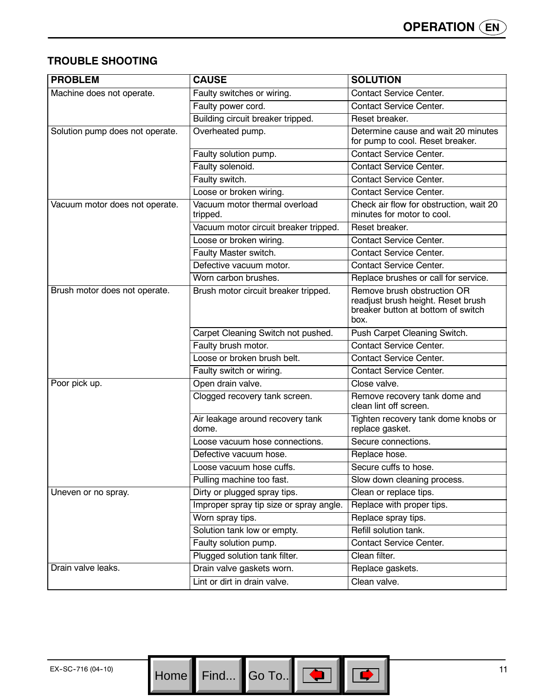## **TROUBLE SHOOTING**

| <b>PROBLEM</b>                  | <b>CAUSE</b>                              | <b>SOLUTION</b>                                                                                                 |
|---------------------------------|-------------------------------------------|-----------------------------------------------------------------------------------------------------------------|
| Machine does not operate.       | Faulty switches or wiring.                | <b>Contact Service Center.</b>                                                                                  |
|                                 | Faulty power cord.                        | <b>Contact Service Center.</b>                                                                                  |
|                                 | Building circuit breaker tripped.         | Reset breaker.                                                                                                  |
| Solution pump does not operate. | Overheated pump.                          | Determine cause and wait 20 minutes<br>for pump to cool. Reset breaker.                                         |
|                                 | Faulty solution pump.                     | <b>Contact Service Center.</b>                                                                                  |
|                                 | Faulty solenoid.                          | <b>Contact Service Center.</b>                                                                                  |
|                                 | Faulty switch.                            | <b>Contact Service Center.</b>                                                                                  |
|                                 | Loose or broken wiring.                   | Contact Service Center.                                                                                         |
| Vacuum motor does not operate.  | Vacuum motor thermal overload<br>tripped. | Check air flow for obstruction, wait 20<br>minutes for motor to cool.                                           |
|                                 | Vacuum motor circuit breaker tripped.     | Reset breaker.                                                                                                  |
|                                 | Loose or broken wiring.                   | <b>Contact Service Center.</b>                                                                                  |
|                                 | Faulty Master switch.                     | <b>Contact Service Center.</b>                                                                                  |
|                                 | Defective vacuum motor.                   | <b>Contact Service Center.</b>                                                                                  |
|                                 | Worn carbon brushes.                      | Replace brushes or call for service.                                                                            |
| Brush motor does not operate.   | Brush motor circuit breaker tripped.      | Remove brush obstruction OR<br>readjust brush height. Reset brush<br>breaker button at bottom of switch<br>box. |
|                                 | Carpet Cleaning Switch not pushed.        | Push Carpet Cleaning Switch.                                                                                    |
|                                 | Faulty brush motor.                       | <b>Contact Service Center.</b>                                                                                  |
|                                 | Loose or broken brush belt.               | <b>Contact Service Center.</b>                                                                                  |
|                                 | Faulty switch or wiring.                  | <b>Contact Service Center.</b>                                                                                  |
| Poor pick up.                   | Open drain valve.                         | Close valve.                                                                                                    |
|                                 | Clogged recovery tank screen.             | Remove recovery tank dome and<br>clean lint off screen.                                                         |
|                                 | Air leakage around recovery tank<br>dome. | Tighten recovery tank dome knobs or<br>replace gasket.                                                          |
|                                 | Loose vacuum hose connections.            | Secure connections.                                                                                             |
|                                 | Defective vacuum hose.                    | Replace hose.                                                                                                   |
|                                 | Loose vacuum hose cuffs.                  | Secure cuffs to hose.                                                                                           |
|                                 | Pulling machine too fast.                 | Slow down cleaning process.                                                                                     |
| Uneven or no spray.             | Dirty or plugged spray tips.              | Clean or replace tips.                                                                                          |
|                                 | Improper spray tip size or spray angle.   | Replace with proper tips.                                                                                       |
|                                 | Worn spray tips.                          | Replace spray tips.                                                                                             |
|                                 | Solution tank low or empty.               | Refill solution tank.                                                                                           |
|                                 | Faulty solution pump.                     | <b>Contact Service Center.</b>                                                                                  |
|                                 | Plugged solution tank filter.             | Clean filter.                                                                                                   |
| Drain valve leaks.              | Drain valve gaskets worn.                 | Replace gaskets.                                                                                                |
|                                 | Lint or dirt in drain valve.              | Clean valve.                                                                                                    |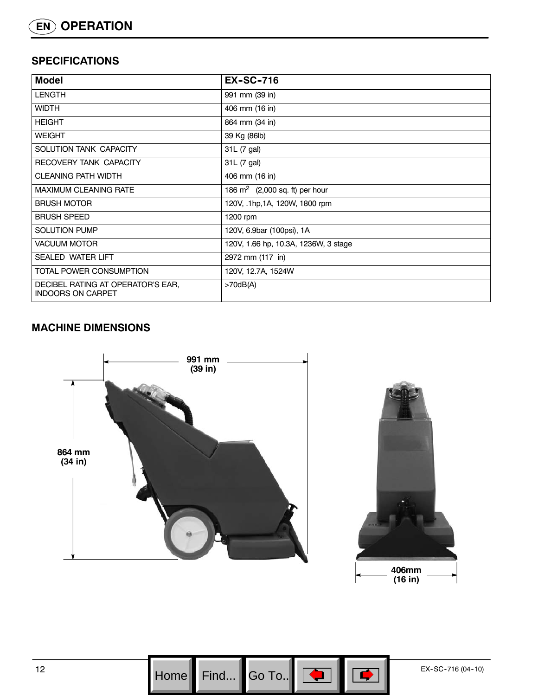## **SPECIFICATIONS**

| <b>Model</b>                                                  | <b>EX-SC-716</b>                         |
|---------------------------------------------------------------|------------------------------------------|
| <b>LENGTH</b>                                                 | 991 mm (39 in)                           |
| <b>WIDTH</b>                                                  | 406 mm (16 in)                           |
| <b>HEIGHT</b>                                                 | 864 mm (34 in)                           |
| <b>WEIGHT</b>                                                 | 39 Kg (86lb)                             |
| SOLUTION TANK CAPACITY                                        | 31L (7 gal)                              |
| RECOVERY TANK CAPACITY                                        | 31L (7 gal)                              |
| <b>CLEANING PATH WIDTH</b>                                    | 406 mm (16 in)                           |
| <b>MAXIMUM CLEANING RATE</b>                                  | 186 $\text{m}^2$ (2,000 sq. ft) per hour |
| <b>BRUSH MOTOR</b>                                            | 120V, .1hp, 1A, 120W, 1800 rpm           |
| <b>BRUSH SPEED</b>                                            | 1200 rpm                                 |
| <b>SOLUTION PUMP</b>                                          | 120V, 6.9bar (100psi), 1A                |
| <b>VACUUM MOTOR</b>                                           | 120V, 1.66 hp, 10.3A, 1236W, 3 stage     |
| <b>SEALED WATER LIFT</b>                                      | 2972 mm (117 in)                         |
| TOTAL POWER CONSUMPTION                                       | 120V, 12.7A, 1524W                       |
| DECIBEL RATING AT OPERATOR'S EAR.<br><b>INDOORS ON CARPET</b> | >70dB(A)                                 |

# **MACHINE DIMENSIONS**



 $\begin{array}{|c|c|c|c|c|c|}\n\hline\n\text{Home} & \text{Find} & \text{Go To.} & \text{or} & \text{or} & \text{or} & \text{Ex-SC-716 (04-10)} \\
\hline\n\end{array}$ Go To.. $\|$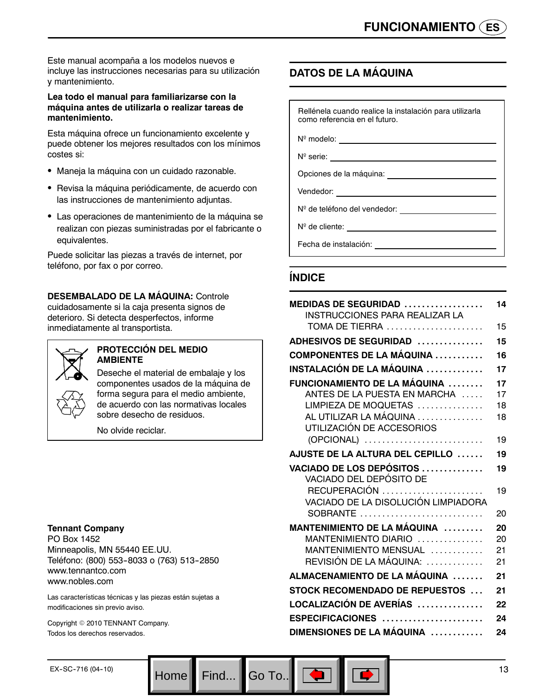Este manual acompaña a los modelos nuevos e incluye las instrucciones necesarias para su utilización y mantenimiento.

## **Lea todo el manual para familiarizarse con la máquina antes de utilizarla o realizar tareas de mantenimiento.**

Esta máquina ofrece un funcionamiento excelente y puede obtener los mejores resultados con los mínimos costes si:

- Maneja la máquina con un cuidado razonable.
- Revisa la máquina periódicamente, de acuerdo con las instrucciones de mantenimiento adjuntas.
- Las operaciones de mantenimiento de la máquina se realizan con piezas suministradas por el fabricante o equivalentes.

Puede solicitar las piezas a través de internet, por teléfono, por fax o por correo.

**DESEMBALADO DE LA MÁQUINA:** Controle cuidadosamente si la caja presenta signos de deterioro. Si detecta desperfectos, informe inmediatamente al transportista.



#### **PROTECCIÓN DEL MEDIO AMBIENTE**

Deseche el material de embalaje y los componentes usados de la máquina de forma segura para el medio ambiente, de acuerdo con las normativas locales sobre desecho de residuos.

No olvide reciclar.

## **Tennant Company**

PO Box 1452 Minneapolis, MN 55440 EE.UU. Teléfono: (800) 553-8033 o (763) 513-2850 www.tennantco.com www.nobles.com

Las características técnicas y las piezas están sujetas a modificaciones sin previo aviso.

Copyright © 2010 TENNANT Company. Todos los derechos reservados.

## **DATOS DE LA MÁQUINA**

Rellénela cuando realice la instalación para utilizarla como referencia en el futuro.

Nº modelo:

N<sup>o</sup> serie: \_

Opciones de la máquina:

Vendedor:

Nº de teléfono del vendedor:

N<sup>o</sup> de cliente: <u>contra de cliente</u> de cliente de la contra de la contra de la contra de la contra de la contra de la contra de la contra de la contra de la contra de la contra de la contra de la contra de la contra de la

Fecha de instalación:

## **ÍNDICE**

| <b>MEDIDAS DE SEGURIDAD </b><br>INSTRUCCIONES PARA REALIZAR LA | 14 |
|----------------------------------------------------------------|----|
| TOMA DE TIERRA                                                 | 15 |
| ADHESIVOS DE SEGURIDAD                                         | 15 |
| <b>COMPONENTES DE LA MÁQUINA </b>                              | 16 |
| INSTALACIÓN DE LA MÁQUINA ……………                                | 17 |
| FUNCIONAMIENTO DE LA MÁQUINA                                   | 17 |
| ANTES DE LA PUESTA EN MARCHA                                   | 17 |
| LIMPIEZA DE MOQUETAS                                           | 18 |
| AL UTILIZAR LA MÁQUINA<br>UTILIZACIÓN DE ACCESORIOS            | 18 |
|                                                                | 19 |
| (OPCIONAL)                                                     |    |
| AJUSTE DE LA ALTURA DEL CEPILLO                                | 19 |
| <b>VACIADO DE LOS DEPÓSITOS</b><br>VACIADO DEL DEPÓSITO DE     | 19 |
| VACIADO DE LA DISOLUCIÓN LIMPIADORA                            | 19 |
| SOBRANTE                                                       | 20 |
| MANTENIMIENTO DE LA MÁQUINA                                    | 20 |
| MANTENIMIENTO DIARIO                                           | 20 |
| MANTENIMIENTO MENSUAL                                          | 21 |
| REVISIÓN DE LA MÁQUINA:                                        | 21 |
| ALMACENAMIENTO DE LA MÁQUINA                                   | 21 |
| <b>STOCK RECOMENDADO DE REPUESTOS </b>                         | 21 |
| LOCALIZACIÓN DE AVERÍAS ……………                                  | 22 |
| ESPECIFICACIONES                                               | 24 |
| DIMENSIONES DE LA MÁQUINA                                      | 24 |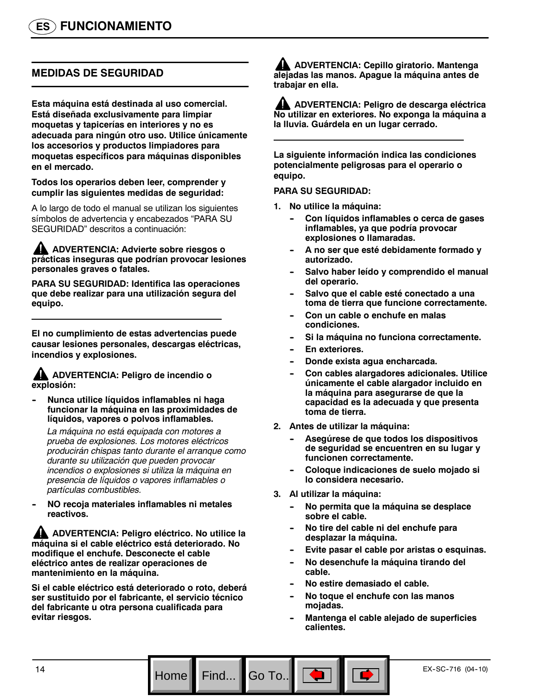## **MEDIDAS DE SEGURIDAD**

**Esta máquina está destinada al uso comercial. Está diseñada exclusivamente para limpiar moquetas y tapicerías en interiores y no es adecuada para ningún otro uso. Utilice únicamente los accesorios y productos limpiadores para moquetas específicos para máquinas disponibles en el mercado.**

**Todos los operarios deben leer, comprender y cumplir las siguientes medidas de seguridad:**

A lo largo de todo el manual se utilizan los siguientes símbolos de advertencia y encabezados "PARA SU SEGURIDAD" descritos a continuación:

**ADVERTENCIA: Advierte sobre riesgos o prácticas inseguras que podrían provocar lesiones personales graves o fatales.**

**PARA SU SEGURIDAD: Identifica las operaciones que debe realizar para una utilización segura del equipo.**

**El no cumplimiento de estas advertencias puede causar lesiones personales, descargas eléctricas, incendios y explosiones.**

## **ADVERTENCIA: Peligro de incendio o explosión:**

**-- Nunca utilice líquidos inflamables ni haga funcionar la máquina en las proximidades de líquidos, vapores o polvos inflamables.**

*La máquina no está equipada con motores a prueba de explosiones. Los motores eléctricos producirán chispas tanto durante el arranque como durante su utilización que pueden provocar incendios o explosiones si utiliza la máquina en presencia de líquidos o vapores inflamables o partículas combustibles.*

**-- NO recoja materiales inflamables ni metales reactivos.**

**ADVERTENCIA: Peligro eléctrico. No utilice la máquina si el cable eléctrico está deteriorado. No modifique el enchufe. Desconecte el cable eléctrico antes de realizar operaciones de mantenimiento en la máquina.**

**Si el cable eléctrico está deteriorado o roto, deberá ser sustituido por el fabricante, el servicio técnico del fabricante u otra persona cualificada para evitar riesgos.**

**ADVERTENCIA: Cepillo giratorio. Mantenga alejadas las manos. Apague la máquina antes de trabajar en ella.**

**ADVERTENCIA: Peligro de descarga eléctrica No utilizar en exteriores. No exponga la máquina a la lluvia. Guárdela en un lugar cerrado.**

**La siguiente información indica las condiciones potencialmente peligrosas para el operario o equipo.**

#### **PARA SU SEGURIDAD:**

- **1. No utilice la máquina:**
	- Con líquidos inflamables o cerca de gases **inflamables, ya que podría provocar explosiones o llamaradas.**
	- A no ser que esté debidamente formado y **autorizado.**
	- Salvo haber leído y comprendido el manual **del operario.**
	- Salvo que el cable esté conectado a una **toma de tierra que funcione correctamente.**
	- Con un cable o enchufe en malas **condiciones.**
	- $Si$  la máquina no funciona correctamente.
	- **En exteriores.**
	- Donde exista agua encharcada.
	- Con cables alargadores adicionales. Utilice **únicamente el cable alargador incluido en la máquina para asegurarse de que la capacidad es la adecuada y que presenta toma de tierra.**
- **2. Antes de utilizar la máquina:**
	- Asegúrese de que todos los dispositivos **de seguridad se encuentren en su lugar y funcionen correctamente.**
	- Coloque indicaciones de suelo mojado si **lo considera necesario.**
- **3. Al utilizar la máquina:**

Go To.. $\parallel$ 

- No permita que la máquina se desplace **sobre el cable.**
- No tire del cable ni del enchufe para **desplazar la máquina.**
- Evite pasar el cable por aristas o esquinas.
- No desenchufe la máquina tirando del **cable.**
- **-- No estire demasiado el cable.**
- No toque el enchufe con las manos **mojadas.**
- **Mantenga el cable alejado de superficies calientes.**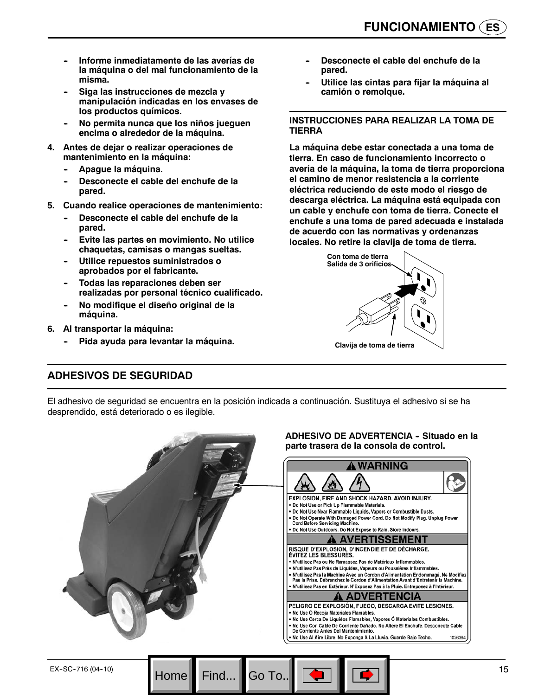- Informe inmediatamente de las averías de **la máquina o del mal funcionamiento de la misma.**
- Siga las instrucciones de mezcla y **manipulación indicadas en los envases de los productos químicos.**
- **-- No permita nunca que los niños jueguen encima o alrededor de la máquina.**
- **4. Antes de dejar o realizar operaciones de mantenimiento en la máquina:**
	- Apague la máquina.
	- Desconecte el cable del enchufe de la **pared.**
- **5. Cuando realice operaciones de mantenimiento:**
	- Desconecte el cable del enchufe de la **pared.**
	- **Evite las partes en movimiento. No utilice chaquetas, camisas o mangas sueltas.**
	- **Utilice repuestos suministrados o aprobados por el fabricante.**
	- **Todas las reparaciones deben ser realizadas por personal técnico cualificado.**
	- **No modifique el diseño original de la máquina.**
- **6. Al transportar la máquina:**
	- Pida ayuda para levantar la máquina.
- Desconecte el cable del enchufe de la **pared.**
- **-- Utilice las cintas para fijar la máquina al camión o remolque.**

## **INSTRUCCIONES PARA REALIZAR LA TOMA DE TIERRA**

**La máquina debe estar conectada a una toma de tierra. En caso de funcionamiento incorrecto o avería de la máquina, la toma de tierra proporciona el camino de menor resistencia a la corriente eléctrica reduciendo de este modo el riesgo de descarga eléctrica. La máquina está equipada con un cable y enchufe con toma de tierra. Conecte el enchufe a una toma de pared adecuada e instalada de acuerdo con las normativas y ordenanzas locales. No retire la clavija de toma de tierra.**



## **ADHESIVOS DE SEGURIDAD**

El adhesivo de seguridad se encuentra en la posición indicada a continuación. Sustituya el adhesivo si se ha desprendido, está deteriorado o es ilegible.

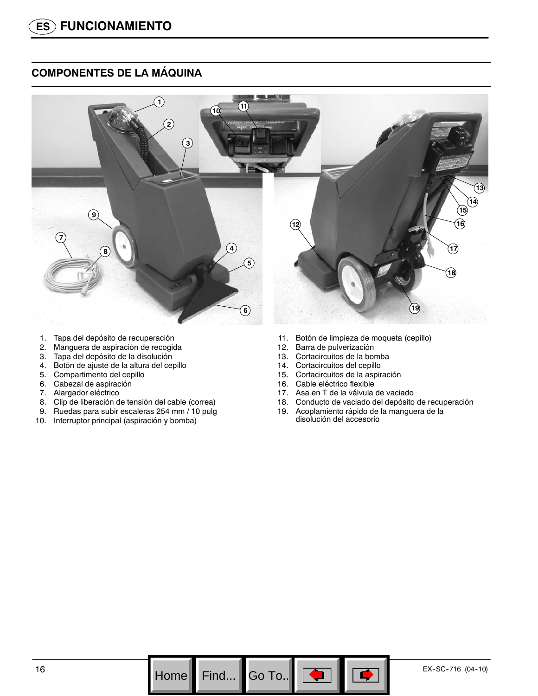## **COMPONENTES DE LA MÁQUINA**



- 1. Tapa del depósito de recuperación
- 2. Manguera de aspiración de recogida
- 3. Tapa del depósito de la disolución
- 4. Botón de ajuste de la altura del cepillo
- 5. Compartimento del cepillo
- 6. Cabezal de aspiración
- 7. Alargador eléctrico
- 8. Clip de liberación de tensión del cable (correa)
- 9. Ruedas para subir escaleras 254 mm / 10 pulg
- 10. Interruptor principal (aspiración y bomba)
- 11. Botón de limpieza de moqueta (cepillo)
- 12. Barra de pulverización
- 13. Cortacircuitos de la bomba
- 14. Cortacircuitos del cepillo
- 15. Cortacircuitos de la aspiración
- 16. Cable eléctrico flexible
- 17. Asa en T de la válvula de vaciado
- 18. Conducto de vaciado del depósito de recuperación
- 19. Acoplamiento rápido de la manguera de la disolución del accesorio

Go To.. $\|$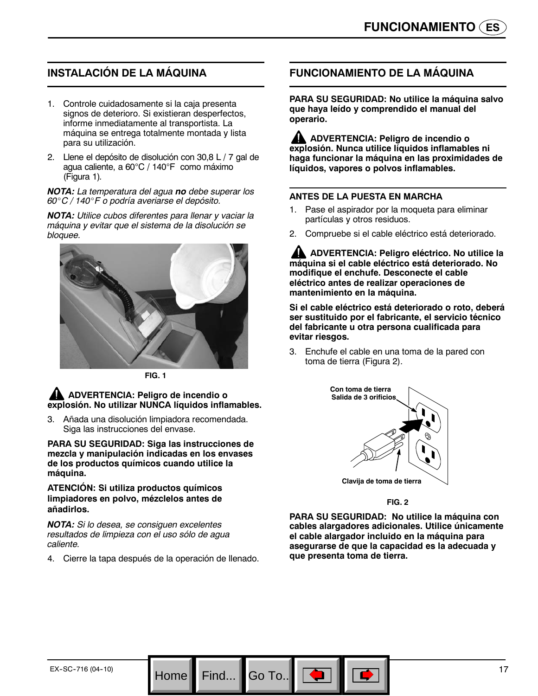# **INSTALACIÓN DE LA MÁQUINA**

- 1. Controle cuidadosamente si la caja presenta signos de deterioro. Si existieran desperfectos, informe inmediatamente al transportista. La máquina se entrega totalmente montada y lista para su utilización.
- 2. Llene el depósito de disolución con 30,8 L / 7 gal de agua caliente, a 60°C / 140°F como máximo (Figura 1)*.*

*NOTA: La temperatura del agua no debe superar los 60*\_*C / 140*\_*F o podría averiarse el depósito.*

*NOTA: Utilice cubos diferentes para llenar y vaciar la máquina y evitar que el sistema de la disolución se bloquee.*



**FIG. 1**

#### **ADVERTENCIA: Peligro de incendio o explosión. No utilizar NUNCA líquidos inflamables.**

3. Añada una disolución limpiadora recomendada. Siga las instrucciones del envase.

**PARA SU SEGURIDAD: Siga las instrucciones de mezcla y manipulación indicadas en los envases de los productos químicos cuando utilice la máquina.**

**ATENCIÓN: Si utiliza productos químicos limpiadores en polvo, mézclelos antes de añadirlos.**

*NOTA: Si lo desea, se consiguen excelentes resultados de limpieza con el uso sólo de agua caliente.*

4. Cierre la tapa después de la operación de llenado.

Home Find... Go To.

## **FUNCIONAMIENTO DE LA MÁQUINA**

**PARA SU SEGURIDAD: No utilice la máquina salvo que haya leído y comprendido el manual del operario.**

**ADVERTENCIA: Peligro de incendio o explosión. Nunca utilice líquidos inflamables ni haga funcionar la máquina en las proximidades de líquidos, vapores o polvos inflamables.**

## **ANTES DE LA PUESTA EN MARCHA**

- 1. Pase el aspirador por la moqueta para eliminar partículas y otros residuos.
- 2. Compruebe si el cable eléctrico está deteriorado.

**ADVERTENCIA: Peligro eléctrico. No utilice la máquina si el cable eléctrico está deteriorado. No modifique el enchufe. Desconecte el cable eléctrico antes de realizar operaciones de mantenimiento en la máquina.**

**Si el cable eléctrico está deteriorado o roto, deberá ser sustituido por el fabricante, el servicio técnico del fabricante u otra persona cualificada para evitar riesgos.**

3. Enchufe el cable en una toma de la pared con toma de tierra (Figura 2).



**FIG. 2**

**PARA SU SEGURIDAD: No utilice la máquina con cables alargadores adicionales. Utilice únicamente el cable alargador incluido en la máquina para asegurarse de que la capacidad es la adecuada y que presenta toma de tierra.**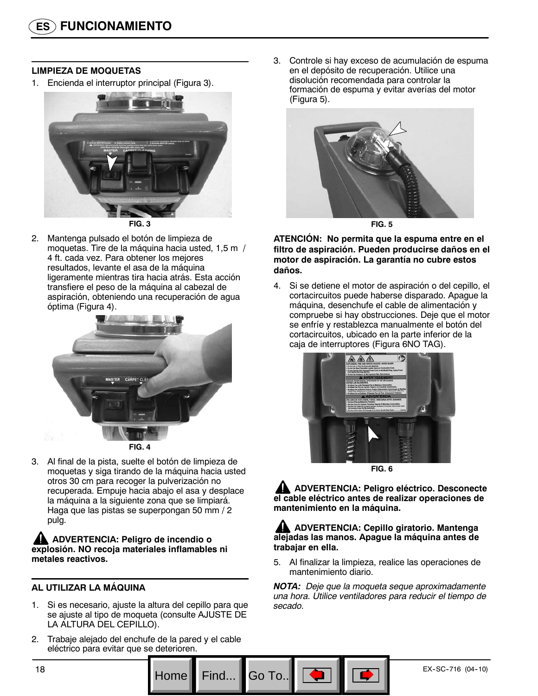## **LIMPIEZA DE MOQUETAS**

1. Encienda el interruptor principal (Figura 3).



2. Mantenga pulsado el botón de limpieza de moquetas. Tire de la máquina hacia usted, 1,5 m / 4 ft. cada vez. Para obtener los mejores resultados, levante el asa de la máquina ligeramente mientras tira hacia atrás. Esta acción transfiere el peso de la máquina al cabezal de aspiración, obteniendo una recuperación de agua óptima (Figura 4).



**FIG. 4**

3. Al final de la pista, suelte el botón de limpieza de moquetas y siga tirando de la máquina hacia usted otros 30 cm para recoger la pulverización no recuperada. Empuje hacia abajo el asa y desplace la máquina a la siguiente zona que se limpiará. Haga que las pistas se superpongan 50 mm / 2 pulg.

**ADVERTENCIA: Peligro de incendio o explosión. NO recoja materiales inflamables ni metales reactivos.**

## **AL UTILIZAR LA MÁQUINA**

- Si es necesario, ajuste la altura del cepillo para que se ajuste al tipo de moqueta (consulte AJUSTE DE LA ALTURA DEL CEPILLO).
- 2. Trabaje alejado del enchufe de la pared y el cable eléctrico para evitar que se deterioren.

3. Controle si hay exceso de acumulación de espuma en el depósito de recuperación. Utilice una disolución recomendada para controlar la formación de espuma y evitar averías del motor (Figura 5).



**FIG. 5**

#### **ATENCIÓN: No permita que la espuma entre en el filtro de aspiración. Pueden producirse daños en el motor de aspiración. La garantía no cubre estos daños.**

4. Si se detiene el motor de aspiración o del cepillo, el cortacircuitos puede haberse disparado. Apague la máquina, desenchufe el cable de alimentación y compruebe si hay obstrucciones. Deje que el motor se enfríe y restablezca manualmente el botón del cortacircuitos, ubicado en la parte inferior de la caja de interruptores (Figura 6NO TAG).



**FIG. 6**

**ADVERTENCIA: Peligro eléctrico. Desconecte el cable eléctrico antes de realizar operaciones de mantenimiento en la máquina.**

## **ADVERTENCIA: Cepillo giratorio. Mantenga alejadas las manos. Apague la máquina antes de trabajar en ella.**

5. Al finalizar la limpieza, realice las operaciones de mantenimiento diario.

*NOTA: Deje que la moqueta seque aproximadamente una hora. Utilice ventiladores para reducir el tiempo de secado.*

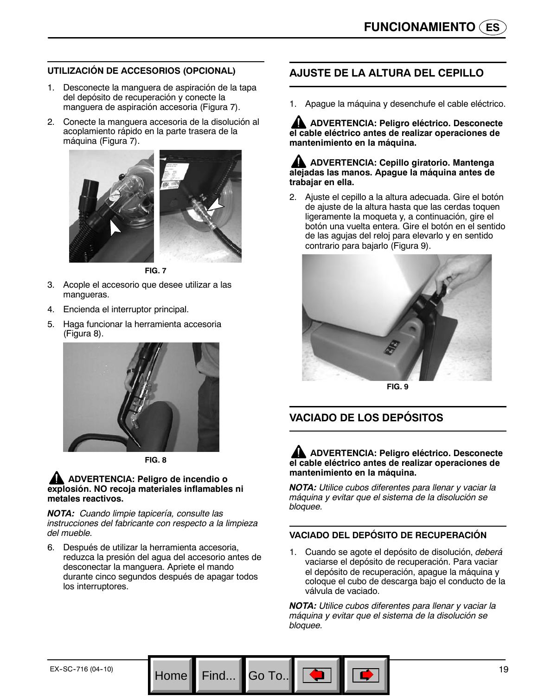## **UTILIZACIÓN DE ACCESORIOS (OPCIONAL)**

- 1. Desconecte la manguera de aspiración de la tapa del depósito de recuperación y conecte la manguera de aspiración accesoria (Figura 7).
- 2. Conecte la manguera accesoria de la disolución al acoplamiento rápido en la parte trasera de la máquina (Figura 7).



**FIG. 7**

- 3. Acople el accesorio que desee utilizar a las mangueras.
- 4. Encienda el interruptor principal.
- 5. Haga funcionar la herramienta accesoria (Figura 8).



**FIG. 8**

#### **ADVERTENCIA: Peligro de incendio o explosión. NO recoja materiales inflamables ni metales reactivos.**

*NOTA: Cuando limpie tapicería, consulte las instrucciones del fabricante con respecto a la limpieza del mueble.*

6. Después de utilizar la herramienta accesoria, reduzca la presión del agua del accesorio antes de desconectar la manguera. Apriete el mando durante cinco segundos después de apagar todos los interruptores.

Home Find... Go To.

## **AJUSTE DE LA ALTURA DEL CEPILLO**

1. Apague la máquina y desenchufe el cable eléctrico.

**ADVERTENCIA: Peligro eléctrico. Desconecte el cable eléctrico antes de realizar operaciones de mantenimiento en la máquina.**

#### **ADVERTENCIA: Cepillo giratorio. Mantenga alejadas las manos. Apague la máquina antes de trabajar en ella.**

2. Ajuste el cepillo a la altura adecuada. Gire el botón de ajuste de la altura hasta que las cerdas toquen ligeramente la moqueta y, a continuación, gire el botón una vuelta entera. Gire el botón en el sentido de las agujas del reloj para elevarlo y en sentido contrario para bajarlo (Figura 9).



**FIG. 9**

## **VACIADO DE LOS DEPÓSITOS**

**ADVERTENCIA: Peligro eléctrico. Desconecte el cable eléctrico antes de realizar operaciones de mantenimiento en la máquina.**

*NOTA: Utilice cubos diferentes para llenar y vaciar la máquina y evitar que el sistema de la disolución se bloquee.*

## **VACIADO DEL DEPÓSITO DE RECUPERACIÓN**

1. Cuando se agote el depósito de disolución, *deberá* vaciarse el depósito de recuperación. Para vaciar el depósito de recuperación, apague la máquina y coloque el cubo de descarga bajo el conducto de la válvula de vaciado.

*NOTA: Utilice cubos diferentes para llenar y vaciar la máquina y evitar que el sistema de la disolución se bloquee.*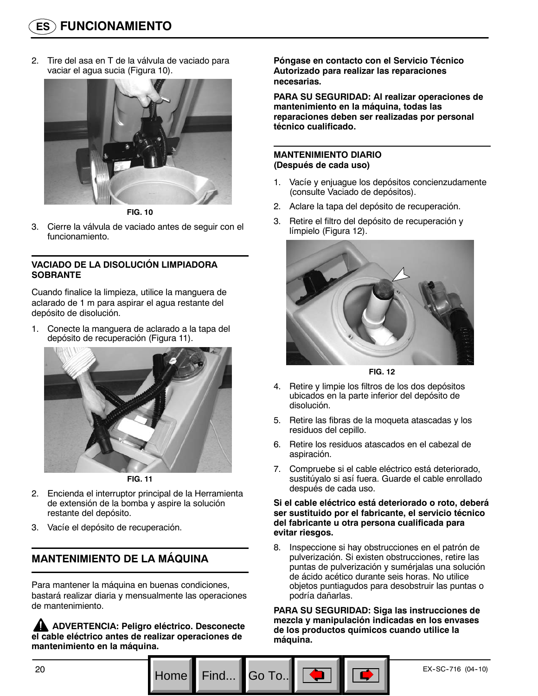2. Tire del asa en T de la válvula de vaciado para vaciar el agua sucia (Figura 10).



**FIG. 10**

3. Cierre la válvula de vaciado antes de seguir con el funcionamiento.

## **VACIADO DE LA DISOLUCIÓN LIMPIADORA SOBRANTE**

Cuando finalice la limpieza, utilice la manguera de aclarado de 1 m para aspirar el agua restante del depósito de disolución.

1. Conecte la manguera de aclarado a la tapa del depósito de recuperación (Figura 11).





- 2. Encienda el interruptor principal de la Herramienta de extensión de la bomba y aspire la solución restante del depósito.
- 3. Vacíe el depósito de recuperación.

## **MANTENIMIENTO DE LA MÁQUINA**

Para mantener la máquina en buenas condiciones, bastará realizar diaria y mensualmente las operaciones de mantenimiento.

**ADVERTENCIA: Peligro eléctrico. Desconecte el cable eléctrico antes de realizar operaciones de mantenimiento en la máquina.**

**Póngase en contacto con el Servicio Técnico Autorizado para realizar las reparaciones necesarias.**

**PARA SU SEGURIDAD: Al realizar operaciones de mantenimiento en la máquina, todas las reparaciones deben ser realizadas por personal técnico cualificado.**

#### **MANTENIMIENTO DIARIO (Después de cada uso)**

- 1. Vacíe y enjuague los depósitos concienzudamente (consulte Vaciado de depósitos).
- 2. Aclare la tapa del depósito de recuperación.
- 3. Retire el filtro del depósito de recuperación y límpielo (Figura 12).



**FIG. 12**

- 4. Retire y limpie los filtros de los dos depósitos ubicados en la parte inferior del depósito de disolución.
- 5. Retire las fibras de la moqueta atascadas y los residuos del cepillo.
- 6. Retire los residuos atascados en el cabezal de aspiración.
- 7. Compruebe si el cable eléctrico está deteriorado, sustitúyalo si así fuera. Guarde el cable enrollado después de cada uso.

#### **Si el cable eléctrico está deteriorado o roto, deberá ser sustituido por el fabricante, el servicio técnico del fabricante u otra persona cualificada para evitar riesgos.**

8. Inspeccione si hay obstrucciones en el patrón de pulverización. Si existen obstrucciones, retire las puntas de pulverización y sumérjalas una solución de ácido acético durante seis horas. No utilice objetos puntiagudos para desobstruir las puntas o podría dañarlas.

**PARA SU SEGURIDAD: Siga las instrucciones de mezcla y manipulación indicadas en los envases de los productos químicos cuando utilice la máquina.**

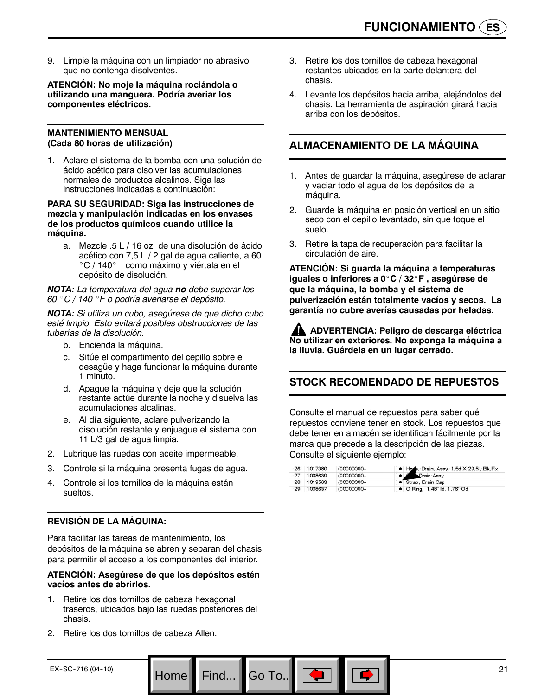9. Limpie la máquina con un limpiador no abrasivo que no contenga disolventes.

**ATENCIÓN: No moje la máquina rociándola o utilizando una manguera. Podría averiar los componentes eléctricos.**

#### **MANTENIMIENTO MENSUAL (Cada 80 horas de utilización)**

1. Aclare el sistema de la bomba con una solución de ácido acético para disolver las acumulaciones normales de productos alcalinos. Siga las instrucciones indicadas a continuación:

#### **PARA SU SEGURIDAD: Siga las instrucciones de mezcla y manipulación indicadas en los envases de los productos químicos cuando utilice la máquina.**

a. Mezcle .5 L / 16 oz de una disolución de ácido acético con 7,5 L / 2 gal de agua caliente, a 60 °C / 140° como máximo y viértala en el depósito de disolución.

*NOTA: La temperatura del agua no debe superar los 60* \_*C / 140* \_*F o podría averiarse el depósito.*

*NOTA: Si utiliza un cubo, asegúrese de que dicho cubo esté limpio. Esto evitará posibles obstrucciones de las tuberías de la disolución.*

- b. Encienda la máquina.
- c. Sitúe el compartimento del cepillo sobre el desagüe y haga funcionar la máquina durante 1 minuto.
- d. Apague la máquina y deje que la solución restante actúe durante la noche y disuelva las acumulaciones alcalinas.
- e. Al día siguiente, aclare pulverizando la disolución restante y enjuague el sistema con 11 L/3 gal de agua limpia.
- 2. Lubrique las ruedas con aceite impermeable.
- 3. Controle si la máquina presenta fugas de agua.
- 4. Controle si los tornillos de la máquina están sueltos.

## **REVISIÓN DE LA MÁQUINA:**

Para facilitar las tareas de mantenimiento, los depósitos de la máquina se abren y separan del chasis para permitir el acceso a los componentes del interior.

#### **ATENCIÓN: Asegúrese de que los depósitos estén vacíos antes de abrirlos.**

1. Retire los dos tornillos de cabeza hexagonal traseros, ubicados bajo las ruedas posteriores del chasis.

Home Find... Go To..

2. Retire los dos tornillos de cabeza Allen.

- 3. Retire los dos tornillos de cabeza hexagonal restantes ubicados en la parte delantera del chasis.
- 4. Levante los depósitos hacia arriba, alejándolos del chasis. La herramienta de aspiración girará hacia arriba con los depósitos.

## **ALMACENAMIENTO DE LA MÁQUINA**

- 1. Antes de guardar la máquina, asegúrese de aclarar y vaciar todo el agua de los depósitos de la máquina.
- 2. Guarde la máquina en posición vertical en un sitio seco con el cepillo levantado, sin que toque el suelo.
- 3. Retire la tapa de recuperación para facilitar la circulación de aire.

**ATENCIÓN: Si guarda la máquina a temperaturas iguales o inferiores a 0**\_**C / 32**\_**F , asegúrese de que la máquina, la bomba y el sistema de pulverización están totalmente vacíos y secos. La garantía no cubre averías causadas por heladas.**

**ADVERTENCIA: Peligro de descarga eléctrica No utilizar en exteriores. No exponga la máquina a la lluvia. Guárdela en un lugar cerrado.**

## **STOCK RECOMENDADO DE REPUESTOS**

Consulte el manual de repuestos para saber qué repuestos conviene tener en stock. Los repuestos que debe tener en almacén se identifican fácilmente por la marca que precede a la descripción de las piezas. Consulte el siguiente ejemplo:

| -26   | 1017380 | (00000000- | ) . Hone, Drain, Assy, 1.5d X 29.5l, Blk, Flx |
|-------|---------|------------|-----------------------------------------------|
| -27   | 1008639 | (00000000- | Drain Assy                                    |
| 28    | 1019563 | (00000000- | ) · Strap, Drain Cap                          |
| $-29$ | 1008637 | (00000000- | ) ● O Ring, 1.48" ld, 1.76" Od                |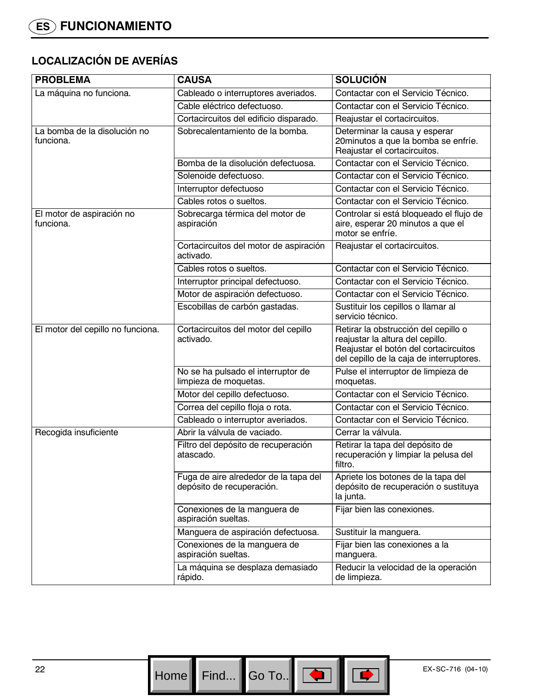# **LOCALIZACIÓN DE AVERÍAS**

| <b>PROBLEMA</b>                           | <b>CAUSA</b>                                                       | <b>SOLUCIÓN</b>                                                                                                                                               |
|-------------------------------------------|--------------------------------------------------------------------|---------------------------------------------------------------------------------------------------------------------------------------------------------------|
| La máquina no funciona.                   | Cableado o interruptores averiados.                                | Contactar con el Servicio Técnico.                                                                                                                            |
|                                           | Cable eléctrico defectuoso.                                        | Contactar con el Servicio Técnico.                                                                                                                            |
|                                           | Cortacircuitos del edificio disparado.                             | Reajustar el cortacircuitos.                                                                                                                                  |
| La bomba de la disolución no<br>funciona. | Sobrecalentamiento de la bomba.                                    | Determinar la causa y esperar<br>20 minutos a que la bomba se enfríe.<br>Reajustar el cortacircuitos.                                                         |
|                                           | Bomba de la disolución defectuosa.                                 | Contactar con el Servicio Técnico.                                                                                                                            |
|                                           | Solenoide defectuoso.                                              | Contactar con el Servicio Técnico.                                                                                                                            |
|                                           | Interruptor defectuoso                                             | Contactar con el Servicio Técnico.                                                                                                                            |
|                                           | Cables rotos o sueltos.                                            | Contactar con el Servicio Técnico.                                                                                                                            |
| El motor de aspiración no<br>funciona.    | Sobrecarga térmica del motor de<br>aspiración                      | Controlar si está bloqueado el flujo de<br>aire, esperar 20 minutos a que el<br>motor se enfríe.                                                              |
|                                           | Cortacircuitos del motor de aspiración<br>activado.                | Reajustar el cortacircuitos.                                                                                                                                  |
|                                           | Cables rotos o sueltos.                                            | Contactar con el Servicio Técnico.                                                                                                                            |
|                                           | Interruptor principal defectuoso.                                  | Contactar con el Servicio Técnico.                                                                                                                            |
|                                           | Motor de aspiración defectuoso.                                    | Contactar con el Servicio Técnico.                                                                                                                            |
|                                           | Escobillas de carbón gastadas.                                     | Sustituir los cepillos o llamar al<br>servicio técnico.                                                                                                       |
| El motor del cepillo no funciona.         | Cortacircuitos del motor del cepillo<br>activado.                  | Retirar la obstrucción del cepillo o<br>reajustar la altura del cepillo.<br>Reajustar el botón del cortacircuitos<br>del cepillo de la caja de interruptores. |
|                                           | No se ha pulsado el interruptor de<br>limpieza de moquetas.        | Pulse el interruptor de limpieza de<br>moquetas.                                                                                                              |
|                                           | Motor del cepillo defectuoso.                                      | Contactar con el Servicio Técnico.                                                                                                                            |
|                                           | Correa del cepillo floja o rota.                                   | Contactar con el Servicio Técnico.                                                                                                                            |
|                                           | Cableado o interruptor averiados.                                  | Contactar con el Servicio Técnico.                                                                                                                            |
| Recogida insuficiente                     | Abrir la válvula de vaciado.                                       | Cerrar la válvula.                                                                                                                                            |
|                                           | Filtro del depósito de recuperación<br>atascado.                   | Retirar la tapa del depósito de<br>recuperación y limpiar la pelusa del<br>filtro.                                                                            |
|                                           | Fuga de aire alrededor de la tapa del<br>depósito de recuperación. | Apriete los botones de la tapa del<br>depósito de recuperación o sustituya<br>la junta.                                                                       |
|                                           | Conexiones de la manguera de<br>aspiración sueltas.                | Fijar bien las conexiones.                                                                                                                                    |
|                                           | Manguera de aspiración defectuosa.                                 | Sustituir la manguera.                                                                                                                                        |
|                                           | Conexiones de la manguera de<br>aspiración sueltas.                | Fijar bien las conexiones a la<br>manguera.                                                                                                                   |
|                                           | La máquina se desplaza demasiado<br>rápido.                        | Reducir la velocidad de la operación<br>de limpieza.                                                                                                          |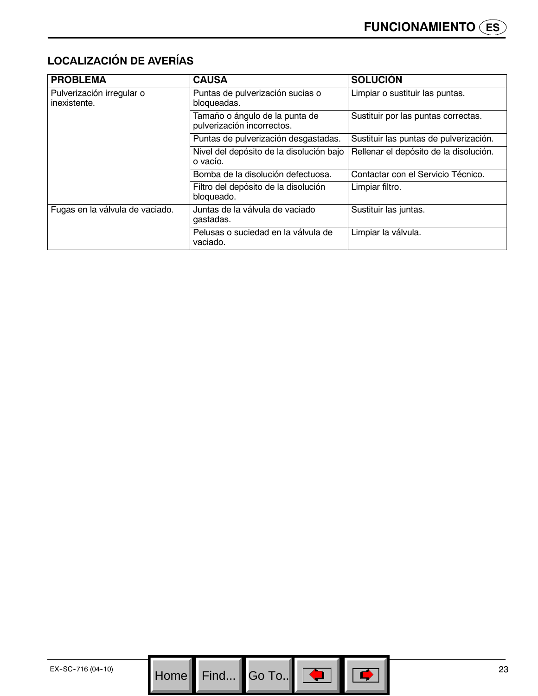# **LOCALIZACIÓN DE AVERÍAS**

| <b>PROBLEMA</b>                           | <b>CAUSA</b>                                                 | <b>SOLUCIÓN</b>                        |
|-------------------------------------------|--------------------------------------------------------------|----------------------------------------|
| Pulverización irregular o<br>inexistente. | Puntas de pulverización sucias o<br>bloqueadas.              | Limpiar o sustituir las puntas.        |
|                                           | Tamaño o ángulo de la punta de<br>pulverización incorrectos. | Sustituir por las puntas correctas.    |
|                                           | Puntas de pulverización desgastadas.                         | Sustituir las puntas de pulverización. |
|                                           | Nivel del depósito de la disolución bajo<br>o vacío.         | Rellenar el depósito de la disolución. |
|                                           | Bomba de la disolución defectuosa.                           | Contactar con el Servicio Técnico.     |
|                                           | Filtro del depósito de la disolución<br>bloqueado.           | Limpiar filtro.                        |
| Fugas en la válvula de vaciado.           | Juntas de la válvula de vaciado<br>gastadas.                 | Sustituir las juntas.                  |
|                                           | Pelusas o suciedad en la válvula de<br>vaciado.              | Limpiar la válvula.                    |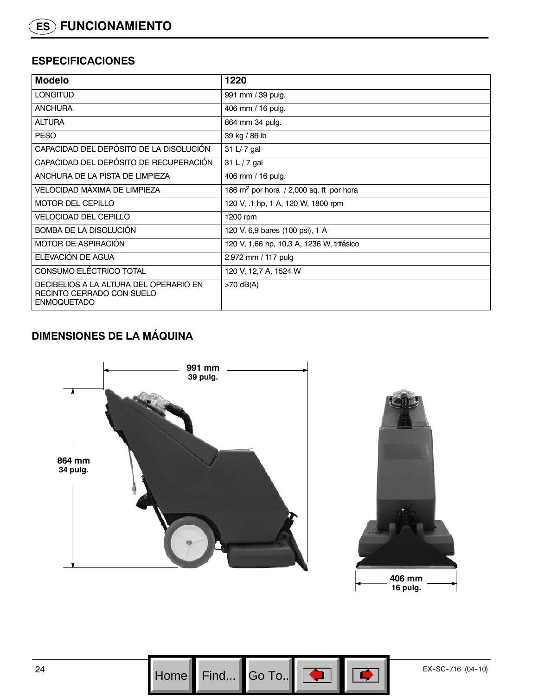## **ESPECIFICACIONES**

| <b>Modelo</b>                                                                             | 1220                                                |
|-------------------------------------------------------------------------------------------|-----------------------------------------------------|
| <b>LONGITUD</b>                                                                           | 991 mm / 39 pulg.                                   |
| <b>ANCHURA</b>                                                                            | 406 mm / 16 pulg.                                   |
| <b>ALTURA</b>                                                                             | 864 mm 34 pulg.                                     |
| <b>PESO</b>                                                                               | 39 kg / 86 lb                                       |
| CAPACIDAD DEL DEPÓSITO DE LA DISOLUCIÓN                                                   | 31 L/ 7 gal                                         |
| CAPACIDAD DEL DEPÓSITO DE RECUPERACIÓN                                                    | 31 L $/$ 7 gal                                      |
| ANCHURA DE LA PISTA DE LIMPIEZA                                                           | 406 mm / 16 pulg.                                   |
| VELOCIDAD MÁXIMA DE LIMPIEZA                                                              | 186 $\mathrm{m}^2$ por hora / 2,000 sq. ft por hora |
| <b>MOTOR DEL CEPILLO</b>                                                                  | 120 V, .1 hp, 1 A, 120 W, 1800 rpm                  |
| <b>VELOCIDAD DEL CEPILLO</b>                                                              | 1200 rpm                                            |
| BOMBA DE LA DISOLUCIÓN                                                                    | 120 V, 6,9 bares (100 psi), 1 A                     |
| MOTOR DE ASPIRACIÓN                                                                       | 120 V, 1,66 hp, 10,3 A, 1236 W, trifásico           |
| ELEVACIÓN DE AGUA                                                                         | 2.972 mm / 117 pulg                                 |
| CONSUMO ELÉCTRICO TOTAL                                                                   | 120 V, 12,7 A, 1524 W                               |
| DECIBELIOS A LA ALTURA DEL OPERARIO EN<br>RECINTO CERRADO CON SUELO<br><b>ENMOQUETADO</b> | $>70$ dB(A)                                         |

# **DIMENSIONES DE LA MÁQUINA**



Go To.. $\|$ 

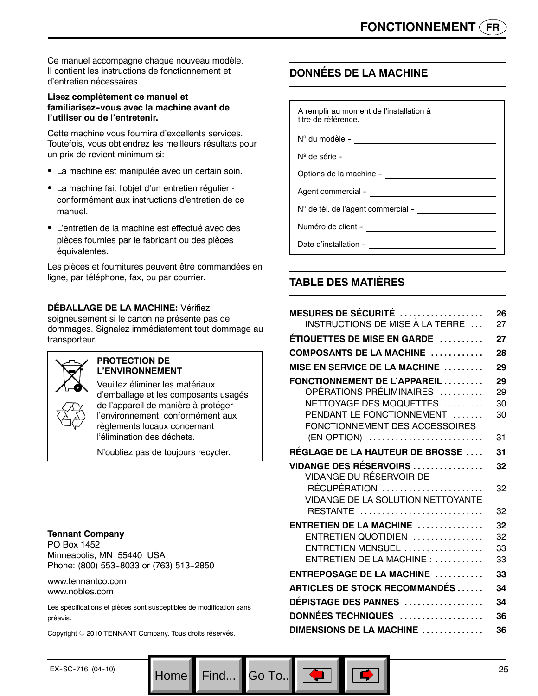Ce manuel accompagne chaque nouveau modèle. Il contient les instructions de fonctionnement et d'entretien nécessaires.

## **Lisez complètement ce manuel et familiarisez--vous avec la machine avant de l'utiliser ou de l'entretenir.**

Cette machine vous fournira d'excellents services. Toutefois, vous obtiendrez les meilleurs résultats pour un prix de revient minimum si:

- La machine est manipulée avec un certain soin.
- La machine fait l'objet d'un entretien régulier conformément aux instructions d'entretien de ce manuel.
- L'entretien de la machine est effectué avec des pièces fournies par le fabricant ou des pièces équivalentes.

Les pièces et fournitures peuvent être commandées en ligne, par téléphone, fax, ou par courrier.

## **DÉBALLAGE DE LA MACHINE:** Vérifiez

soigneusement si le carton ne présente pas de dommages. Signalez immédiatement tout dommage au transporteur.



#### **PROTECTION DE L'ENVIRONNEMENT**

Veuillez éliminer les matériaux d'emballage et les composants usagés de l'appareil de manière à protéger l'environnement, conformément aux règlements locaux concernant l'élimination des déchets.

N'oubliez pas de toujours recycler.

#### **Tennant Company**

PO Box 1452 Minneapolis, MN 55440 USA Phone: (800) 553-8033 or (763) 513-2850

#### www.tennantco.com www.nobles.com

Les spécifications et pièces sont susceptibles de modification sans préavis.

Home Find... Go To..

Copyright © 2010 TENNANT Company. Tous droits réservés.

## **DONNÉES DE LA MACHINE**

| A remplir au moment de l'installation à<br>titre de référence. |  |
|----------------------------------------------------------------|--|
| $N^{\circ}$ du modèle -                                        |  |

Nº de série -

Options de la machine --

Agent commercial -

Nº de tél. de l'agent commercial --

Numéro de client --

Date d'installation --

## **TABLE DES MATIÈRES**

| MESURES DE SÉCURITÉ $\,\ldots\ldots\ldots\ldots\ldots\,$<br>INSTRUCTIONS DE MISE À LA TERRE | 26<br>27 |
|---------------------------------------------------------------------------------------------|----------|
| ÉTIQUETTES DE MISE EN GARDE                                                                 | 27       |
| COMPOSANTS DE LA MACHINE                                                                    | 28       |
| <b>MISE EN SERVICE DE LA MACHINE </b>                                                       | 29       |
| FONCTIONNEMENT DE L'APPAREIL                                                                | 29       |
| OPÉRATIONS PRÉLIMINAIRES                                                                    | 29       |
| NETTOYAGE DES MOQUETTES                                                                     | 30       |
| PENDANT LE FONCTIONNEMENT                                                                   | 30       |
| FONCTIONNEMENT DES ACCESSOIRES<br>(EN OPTION)                                               | 31       |
|                                                                                             |          |
| <b>RÉGLAGE DE LA HAUTEUR DE BROSSE </b>                                                     | 31       |
| <b>VIDANGE DES RÉSERVOIRS</b>                                                               | 32       |
| VIDANGE DU RÉSERVOIR DE                                                                     |          |
| RÉCUPÉRATION<br><b>VIDANGE DE LA SOLUTION NETTOYANTE</b>                                    | 32       |
| RESTANTE                                                                                    | 32       |
|                                                                                             |          |
| $ENTRETIEN DE LA MACHINE$                                                                   | 32       |
| ENTRETIEN QUOTIDIEN                                                                         | 32       |
| ENTRETIEN MENSUEL<br>ENTRETIEN DE LA MACHINE :                                              | 33<br>33 |
|                                                                                             |          |
| $ENTREPOSAGE$ DE LA MACHINE $\ldots \ldots \ldots$                                          | 33       |
| <b>ARTICLES DE STOCK RECOMMANDÉS</b>                                                        | 34       |
| <b>DÉPISTAGE DES PANNES</b>                                                                 | 34       |
| DONNÉES TECHNIQUES                                                                          | 36       |
| DIMENSIONS DE LA MACHINE                                                                    | 36       |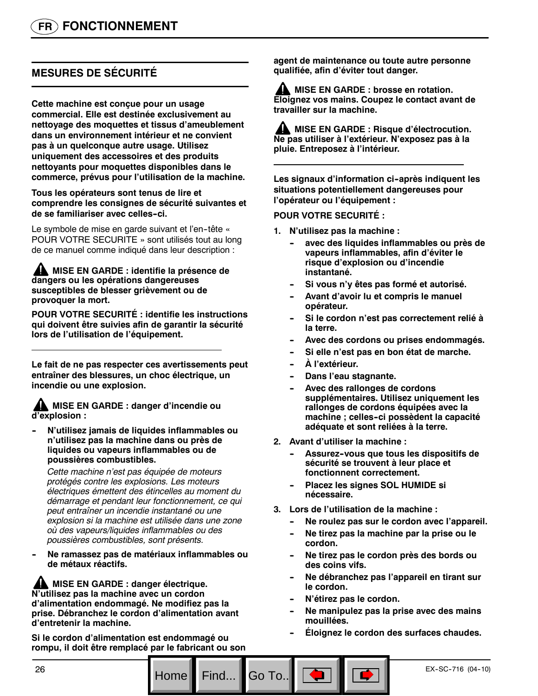# **MESURES DE SÉCURITÉ**

**Cette machine est conçue pour un usage commercial. Elle est destinée exclusivement au nettoyage des moquettes et tissus d'ameublement dans un environnement intérieur et ne convient pas à un quelconque autre usage. Utilisez uniquement des accessoires et des produits nettoyants pour moquettes disponibles dans le commerce, prévus pour l'utilisation de la machine.**

**Tous les opérateurs sont tenus de lire et comprendre les consignes de sécurité suivantes et de se familiariser avec celles--ci.**

Le symbole de mise en garde suivant et l'en-tête « POUR VOTRE SECURITE » sont utilisés tout au long de ce manuel comme indiqué dans leur description :

**A MISE EN GARDE : identifie la présence de dangers ou les opérations dangereuses susceptibles de blesser grièvement ou de provoquer la mort.**

**POUR VOTRE SECURITÉ : identifie les instructions qui doivent être suivies afin de garantir la sécurité lors de l'utilisation de l'équipement.**

**Le fait de ne pas respecter ces avertissements peut entraîner des blessures, un choc électrique, un incendie ou une explosion.**

**MISE EN GARDE : danger d'incendie ou d'explosion :**

**N'utilisez jamais de liquides inflammables ou n'utilisez pas la machine dans ou près de liquides ou vapeurs inflammables ou de poussières combustibles.**

*Cette machine n'est pas équipée de moteurs protégés contre les explosions. Les moteurs électriques émettent des étincelles au moment du démarrage et pendant leur fonctionnement, ce qui peut entraîner un incendie instantané ou une explosion si la machine est utilisée dans une zone où des vapeurs/liquides inflammables ou des poussières combustibles, sont présents.*

Ne ramassez pas de matériaux inflammables ou **de métaux réactifs.**

**AL MISE EN GARDE : danger électrique. N'utilisez pas la machine avec un cordon d'alimentation endommagé. Ne modifiez pas la prise. Débranchez le cordon d'alimentation avant d'entretenir la machine.**

**Si le cordon d'alimentation est endommagé ou rompu, il doit être remplacé par le fabricant ou son** **agent de maintenance ou toute autre personne qualifiée, afin d'éviter tout danger.**

**AL MISE EN GARDE : brosse en rotation. Eloignez vos mains. Coupez le contact avant de travailler sur la machine.**

**MISE EN GARDE : Risque d'électrocution. Ne pas utiliser à l'extérieur. N'exposez pas à la pluie. Entreposez à l'intérieur.**

Les signaux d'information ci-après indiquent les **situations potentiellement dangereuses pour l'opérateur ou l'équipement :**

#### **POUR VOTRE SECURITÉ :**

- **1. N'utilisez pas la machine :**
	- avec des liquides inflammables ou près de **vapeurs inflammables, afin d'éviter le risque d'explosion ou d'incendie instantané.**
	- Si vous n'y êtes pas formé et autorisé.
	- Avant d'avoir lu et compris le manuel **opérateur.**
	- Si le cordon n'est pas correctement relié à **la terre.**
	- Avec des cordons ou prises endommagés.
	- Si elle n'est pas en bon état de marche.
	- $\overline{A}$  l'extérieur.
	- **Dans l'eau stagnante.**
	- Avec des rallonges de cordons **supplémentaires. Utilisez uniquement les rallonges de cordons équipées avec la machine ; celles--ci possèdent la capacité adéquate et sont reliées à la terre.**
- **2. Avant d'utiliser la machine :**
	- Assurez-vous que tous les dispositifs de **sécurité se trouvent à leur place et fonctionnent correctement.**
	- **Placez les signes SOL HUMIDE si nécessaire.**
- **3. Lors de l'utilisation de la machine :**
	- Ne roulez pas sur le cordon avec l'appareil.
	- Ne tirez pas la machine par la prise ou le **cordon.**
	- Ne tirez pas le cordon près des bords ou **des coins vifs.**
	- **-- Ne débranchez pas l'appareil en tirant sur le cordon.**
	- **N'étirez pas le cordon.**
	- Ne manipulez pas la prise avec des mains **mouillées.**
	- Eloignez le cordon des surfaces chaudes.

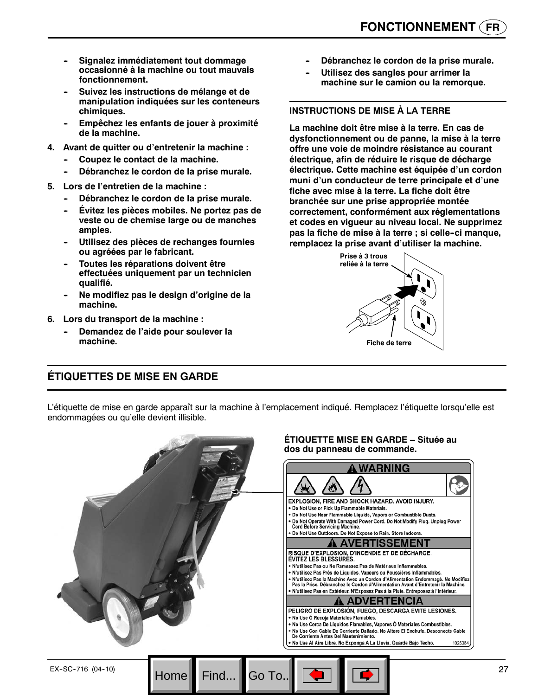- **Signalez immédiatement tout dommage occasionné à la machine ou tout mauvais fonctionnement.**
- Suivez les instructions de mélange et de **manipulation indiquées sur les conteneurs chimiques.**
- Empêchez les enfants de jouer à proximité **de la machine.**
- **4. Avant de quitter ou d'entretenir la machine :**
	- Coupez le contact de la machine.
	- Débranchez le cordon de la prise murale.
- **5. Lors de l'entretien de la machine :**
	- Débranchez le cordon de la prise murale.
	- **Évitez les pièces mobiles. Ne portez pas de veste ou de chemise large ou de manches amples.**
	- Utilisez des pièces de rechanges fournies **ou agréées par le fabricant.**
	- **Toutes les réparations doivent être effectuées uniquement par un technicien qualifié.**
	- **-- Ne modifiez pas le design d'origine de la machine.**
- **6. Lors du transport de la machine :**
	- **Demandez de l'aide pour soulever la machine.**
- Débranchez le cordon de la prise murale.
- **Utilisez des sangles pour arrimer la machine sur le camion ou la remorque.**

## **INSTRUCTIONS DE MISE À LA TERRE**

**La machine doit être mise à la terre. En cas de dysfonctionnement ou de panne, la mise à la terre offre une voie de moindre résistance au courant électrique, afin de réduire le risque de décharge électrique. Cette machine est équipée d'un cordon muni d'un conducteur de terre principale et d'une fiche avec mise à la terre. La fiche doit être branchée sur une prise appropriée montée correctement, conformément aux réglementations et codes en vigueur au niveau local. Ne supprimez pas la fiche de mise à la terre ; si celle--ci manque, remplacez la prise avant d'utiliser la machine.**



## **ÉTIQUETTES DE MISE EN GARDE**

L'étiquette de mise en garde apparaît sur la machine à l'emplacement indiqué. Remplacez l'étiquette lorsqu'elle est endommagées ou qu'elle devient illisible.

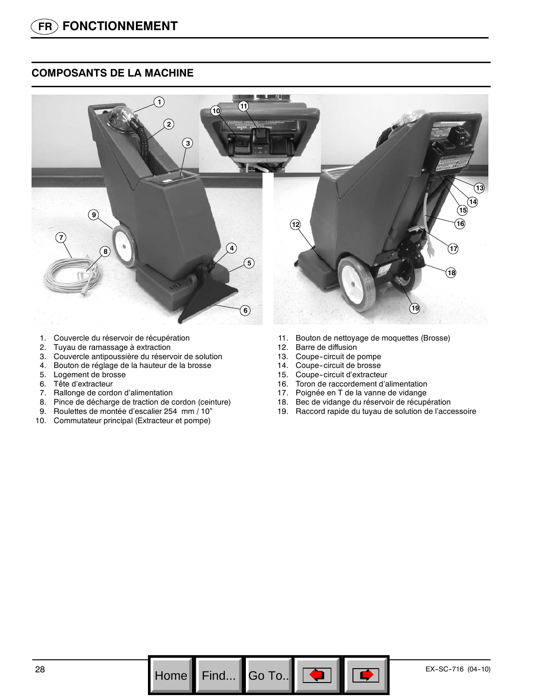## **COMPOSANTS DE LA MACHINE**



- 1. Couvercle du réservoir de récupération
- 2. Tuyau de ramassage à extraction
- 3. Couvercle antipoussière du réservoir de solution
- 4. Bouton de réglage de la hauteur de la brosse
- 5. Logement de brosse
- 6. Tête d'extracteur
- 7. Rallonge de cordon d'alimentation
- 8. Pince de décharge de traction de cordon (ceinture)
- 9. Roulettes de montée d'escalier 254 mm / 10"
- 10. Commutateur principal (Extracteur et pompe)
- 11. Bouton de nettoyage de moquettes (Brosse)
- 12. Barre de diffusion
- 13. Coupe-circuit de pompe
- 14. Coupe-circuit de brosse
- 15. Coupe-circuit d'extracteur
- 16. Toron de raccordement d'alimentation
- 17. Poignée en T de la vanne de vidange
- 18. Bec de vidange du réservoir de récupération
- 19. Raccord rapide du tuyau de solution de l'accessoire

Go To.. $\|$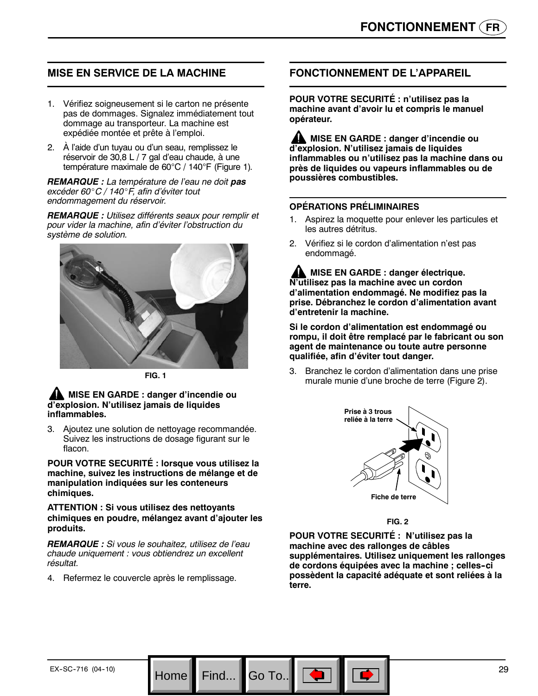## **MISE EN SERVICE DE LA MACHINE**

- 1. Vérifiez soigneusement si le carton ne présente pas de dommages. Signalez immédiatement tout dommage au transporteur. La machine est expédiée montée et prête à l'emploi.
- 2. À l'aide d'un tuyau ou d'un seau, remplissez le réservoir de 30,8 L / 7 gal d'eau chaude, à une température maximale de 60°C / 140°F (Figure 1)*.*

*REMARQUE : La température de l'eau ne doit pas excéder 60*\_*C / 140*\_*F, afin d'éviter tout endommagement du réservoir.*

*REMARQUE : Utilisez différents seaux pour remplir et pour vider la machine, afin d'éviter l'obstruction du système de solution.*



**FIG. 1**

## **MISE EN GARDE : danger d'incendie ou d'explosion. N'utilisez jamais de liquides inflammables.**

3. Ajoutez une solution de nettoyage recommandée. Suivez les instructions de dosage figurant sur le flacon.

**POUR VOTRE SECURITÉ : lorsque vous utilisez la machine, suivez les instructions de mélange et de manipulation indiquées sur les conteneurs chimiques.**

**ATTENTION : Si vous utilisez des nettoyants chimiques en poudre, mélangez avant d'ajouter les produits.**

*REMARQUE : Si vous le souhaitez, utilisez de l'eau chaude uniquement : vous obtiendrez un excellent résultat.*

Home Find... Go To.

4. Refermez le couvercle après le remplissage.

## **FONCTIONNEMENT DE L'APPAREIL**

**POUR VOTRE SECURITÉ : n'utilisez pas la machine avant d'avoir lu et compris le manuel opérateur.**

**MISE EN GARDE : danger d'incendie ou d'explosion. N'utilisez jamais de liquides inflammables ou n'utilisez pas la machine dans ou près de liquides ou vapeurs inflammables ou de poussières combustibles.**

#### **OPÉRATIONS PRÉLIMINAIRES**

- 1. Aspirez la moquette pour enlever les particules et les autres détritus.
- 2. Vérifiez si le cordon d'alimentation n'est pas endommagé.

**MISE EN GARDE : danger électrique. N'utilisez pas la machine avec un cordon d'alimentation endommagé. Ne modifiez pas la prise. Débranchez le cordon d'alimentation avant d'entretenir la machine.**

**Si le cordon d'alimentation est endommagé ou rompu, il doit être remplacé par le fabricant ou son agent de maintenance ou toute autre personne qualifiée, afin d'éviter tout danger.**

3. Branchez le cordon d'alimentation dans une prise murale munie d'une broche de terre (Figure 2).



**FIG. 2**

**POUR VOTRE SECURITÉ : N'utilisez pas la machine avec des rallonges de câbles supplémentaires. Utilisez uniquement les rallonges de cordons équipées avec la machine ; celles--ci possèdent la capacité adéquate et sont reliées à la terre.**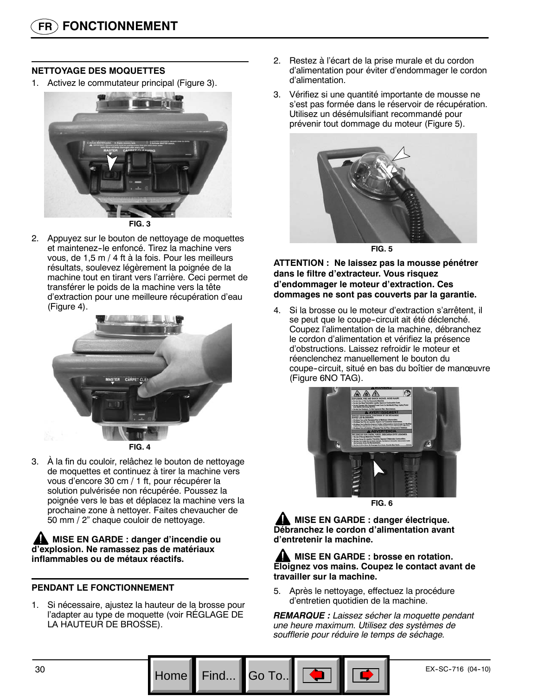## **NETTOYAGE DES MOQUETTES**

1. Activez le commutateur principal (Figure 3).



2. Appuyez sur le bouton de nettoyage de moquettes et maintenez-le enfoncé. Tirez la machine vers vous, de 1,5 m / 4 ft à la fois. Pour les meilleurs résultats, soulevez légèrement la poignée de la machine tout en tirant vers l'arrière. Ceci permet de transférer le poids de la machine vers la tête d'extraction pour une meilleure récupération d'eau (Figure 4).



**FIG. 4**

3. À la fin du couloir, relâchez le bouton de nettoyage de moquettes et continuez à tirer la machine vers vous d'encore 30 cm / 1 ft, pour récupérer la solution pulvérisée non récupérée. Poussez la poignée vers le bas et déplacez la machine vers la prochaine zone à nettoyer. Faites chevaucher de 50 mm / 2" chaque couloir de nettoyage.

**MISE EN GARDE : danger d'incendie ou d'explosion. Ne ramassez pas de matériaux inflammables ou de métaux réactifs.**

## **PENDANT LE FONCTIONNEMENT**

1. Si nécessaire, ajustez la hauteur de la brosse pour l'adapter au type de moquette (voir RÉGLAGE DE LA HAUTEUR DE BROSSE).

- 2. Restez à l'écart de la prise murale et du cordon d'alimentation pour éviter d'endommager le cordon d'alimentation.
- 3. Vérifiez si une quantité importante de mousse ne s'est pas formée dans le réservoir de récupération. Utilisez un désémulsifiant recommandé pour prévenir tout dommage du moteur (Figure 5).



**FIG. 5**

**ATTENTION : Ne laissez pas la mousse pénétrer dans le filtre d'extracteur. Vous risquez d'endommager le moteur d'extraction. Ces dommages ne sont pas couverts par la garantie.**

4. Si la brosse ou le moteur d'extraction s'arrêtent, il se peut que le coupe-circuit ait été déclenché. Coupez l'alimentation de la machine, débranchez le cordon d'alimentation et vérifiez la présence d'obstructions. Laissez refroidir le moteur et réenclenchez manuellement le bouton du coupe--circuit, situé en bas du boîtier de manœuvre (Figure 6NO TAG).



**FIG. 6**

**AL MISE EN GARDE : danger électrique. Débranchez le cordon d'alimentation avant d'entretenir la machine.**

**MISE EN GARDE : brosse en rotation. Eloignez vos mains. Coupez le contact avant de travailler sur la machine.**

5. Après le nettoyage, effectuez la procédure d'entretien quotidien de la machine.

Go To.

*REMARQUE : Laissez sécher la moquette pendant une heure maximum. Utilisez des systèmes de soufflerie pour réduire le temps de séchage.*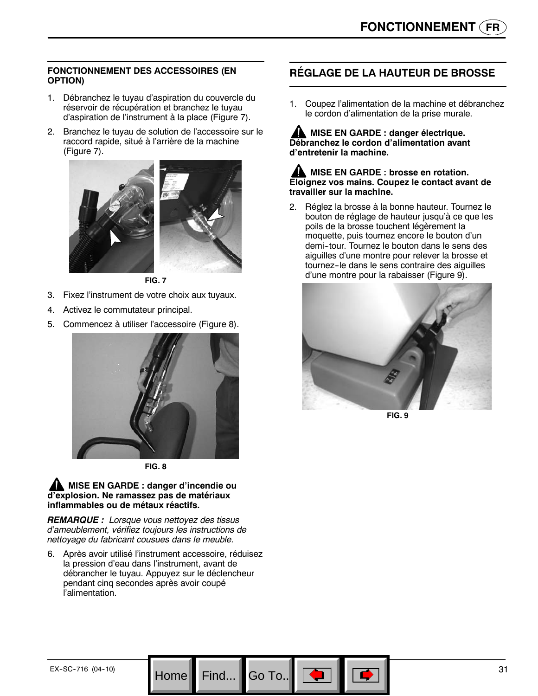## **FONCTIONNEMENT DES ACCESSOIRES (EN OPTION)**

- 1. Débranchez le tuyau d'aspiration du couvercle du réservoir de récupération et branchez le tuyau d'aspiration de l'instrument à la place (Figure 7).
- 2. Branchez le tuyau de solution de l'accessoire sur le raccord rapide, situé à l'arrière de la machine (Figure 7).



**FIG. 7**

- 3. Fixez l'instrument de votre choix aux tuyaux.
- 4. Activez le commutateur principal.
- 5. Commencez à utiliser l'accessoire (Figure 8).



**FIG. 8**

#### **MISE EN GARDE : danger d'incendie ou d'explosion. Ne ramassez pas de matériaux inflammables ou de métaux réactifs.**

*REMARQUE : Lorsque vous nettoyez des tissus d'ameublement, vérifiez toujours les instructions de nettoyage du fabricant cousues dans le meuble.*

6. Après avoir utilisé l'instrument accessoire, réduisez la pression d'eau dans l'instrument, avant de débrancher le tuyau. Appuyez sur le déclencheur pendant cinq secondes après avoir coupé l'alimentation.

Go To..

## **RÉGLAGE DE LA HAUTEUR DE BROSSE**

1. Coupez l'alimentation de la machine et débranchez le cordon d'alimentation de la prise murale.

## **MISE EN GARDE : danger électrique. Débranchez le cordon d'alimentation avant d'entretenir la machine.**

#### **MISE EN GARDE : brosse en rotation. Eloignez vos mains. Coupez le contact avant de travailler sur la machine.**

2. Réglez la brosse à la bonne hauteur. Tournez le bouton de réglage de hauteur jusqu'à ce que les poils de la brosse touchent légèrement la moquette, puis tournez encore le bouton d'un demi--tour. Tournez le bouton dans le sens des aiguilles d'une montre pour relever la brosse et tournez-le dans le sens contraire des aiguilles d'une montre pour la rabaisser (Figure 9).



**FIG. 9**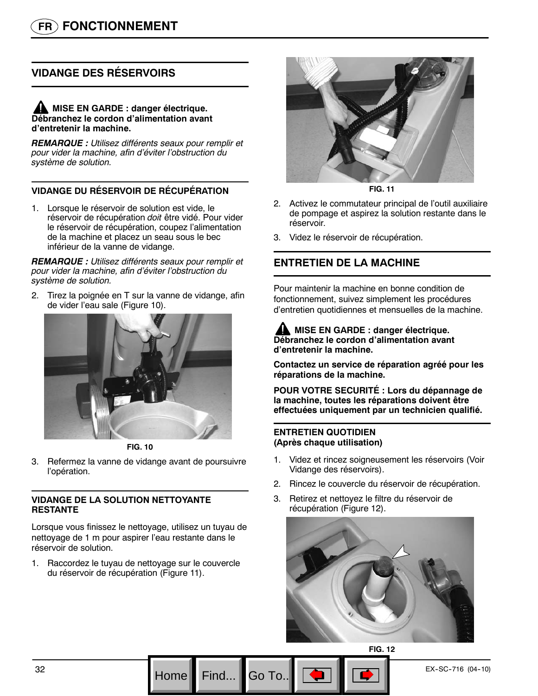# **VIDANGE DES RÉSERVOIRS**

## **MISE EN GARDE : danger électrique. Débranchez le cordon d'alimentation avant d'entretenir la machine.**

*REMARQUE : Utilisez différents seaux pour remplir et pour vider la machine, afin d'éviter l'obstruction du système de solution.*

## **VIDANGE DU RÉSERVOIR DE RÉCUPÉRATION**

1. Lorsque le réservoir de solution est vide, le réservoir de récupération *doit* être vidé. Pour vider le réservoir de récupération, coupez l'alimentation de la machine et placez un seau sous le bec inférieur de la vanne de vidange.

*REMARQUE : Utilisez différents seaux pour remplir et pour vider la machine, afin d'éviter l'obstruction du système de solution.*

2. Tirez la poignée en T sur la vanne de vidange, afin de vider l'eau sale (Figure 10).



**FIG. 10**

3. Refermez la vanne de vidange avant de poursuivre l'opération.

## **VIDANGE DE LA SOLUTION NETTOYANTE RESTANTE**

Lorsque vous finissez le nettoyage, utilisez un tuyau de nettoyage de 1 m pour aspirer l'eau restante dans le réservoir de solution.

1. Raccordez le tuyau de nettoyage sur le couvercle du réservoir de récupération (Figure 11).



**FIG. 11**

- 2. Activez le commutateur principal de l'outil auxiliaire de pompage et aspirez la solution restante dans le réservoir.
- 3. Videz le réservoir de récupération.

## **ENTRETIEN DE LA MACHINE**

Pour maintenir la machine en bonne condition de fonctionnement, suivez simplement les procédures d'entretien quotidiennes et mensuelles de la machine.

#### **MISE EN GARDE : danger électrique. Débranchez le cordon d'alimentation avant d'entretenir la machine.**

**Contactez un service de réparation agréé pour les réparations de la machine.**

**POUR VOTRE SECURITÉ : Lors du dépannage de la machine, toutes les réparations doivent être effectuées uniquement par un technicien qualifié.**

#### **ENTRETIEN QUOTIDIEN (Après chaque utilisation)**

Go To.

- 1. Videz et rincez soigneusement les réservoirs (Voir Vidange des réservoirs).
- 2. Rincez le couvercle du réservoir de récupération.
- 3. Retirez et nettoyez le filtre du réservoir de récupération (Figure 12).

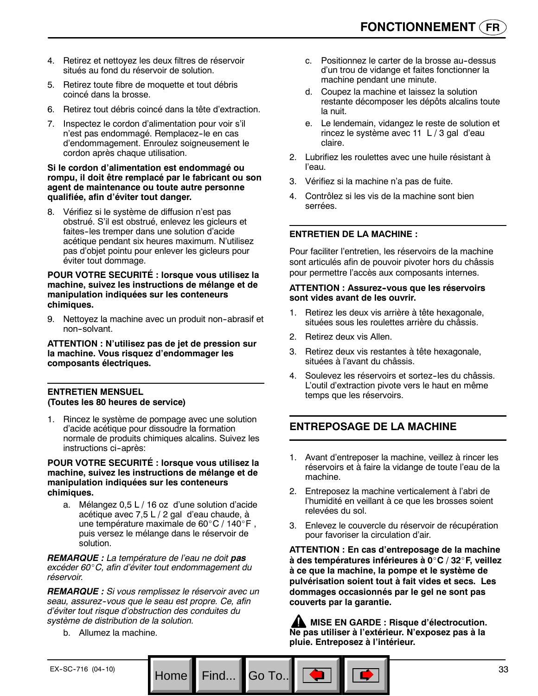- 4. Retirez et nettoyez les deux filtres de réservoir situés au fond du réservoir de solution.
- 5. Retirez toute fibre de moquette et tout débris coincé dans la brosse.
- 6. Retirez tout débris coincé dans la tête d'extraction.
- 7. Inspectez le cordon d'alimentation pour voir s'il n'est pas endommagé. Remplacez-le en cas d'endommagement. Enroulez soigneusement le cordon après chaque utilisation.

#### **Si le cordon d'alimentation est endommagé ou rompu, il doit être remplacé par le fabricant ou son agent de maintenance ou toute autre personne qualifiée, afin d'éviter tout danger.**

8. Vérifiez si le système de diffusion n'est pas obstrué. S'il est obstrué, enlevez les gicleurs et faites--les tremper dans une solution d'acide acétique pendant six heures maximum. N'utilisez pas d'objet pointu pour enlever les gicleurs pour éviter tout dommage.

#### **POUR VOTRE SECURITÉ : lorsque vous utilisez la machine, suivez les instructions de mélange et de manipulation indiquées sur les conteneurs chimiques.**

9. Nettoyez la machine avec un produit non-abrasif et non-solvant.

**ATTENTION : N'utilisez pas de jet de pression sur la machine. Vous risquez d'endommager les composants électriques.**

#### **ENTRETIEN MENSUEL (Toutes les 80 heures de service)**

1. Rincez le système de pompage avec une solution d'acide acétique pour dissoudre la formation normale de produits chimiques alcalins. Suivez les instructions ci-après:

**POUR VOTRE SECURITÉ : lorsque vous utilisez la machine, suivez les instructions de mélange et de manipulation indiquées sur les conteneurs chimiques.**

a. Mélangez 0,5 L / 16 oz d'une solution d'acide acétique avec 7,5 L / 2 gal d'eau chaude, à une température maximale de 60°C / 140°F, puis versez le mélange dans le réservoir de solution.

*REMARQUE : La température de l'eau ne doit pas excéder 60*\_*C, afin d'éviter tout endommagement du réservoir.*

*REMARQUE : Si vous remplissez le réservoir avec un seau, assurez--vous que le seau est propre. Ce, afin d'éviter tout risque d'obstruction des conduites du système de distribution de la solution.*

Home Find... Go To..

b. Allumez la machine.

- c. Positionnez le carter de la brosse au-dessus d'un trou de vidange et faites fonctionner la machine pendant une minute.
- d. Coupez la machine et laissez la solution restante décomposer les dépôts alcalins toute la nuit.
- e. Le lendemain, vidangez le reste de solution et rincez le système avec 11 L / 3 gal d'eau claire.
- 2. Lubrifiez les roulettes avec une huile résistant à l'eau.
- 3. Vérifiez si la machine n'a pas de fuite.
- 4. Contrôlez si les vis de la machine sont bien serrées.

## **ENTRETIEN DE LA MACHINE :**

Pour faciliter l'entretien, les réservoirs de la machine sont articulés afin de pouvoir pivoter hors du châssis pour permettre l'accès aux composants internes.

#### **ATTENTION : Assurez--vous que les réservoirs sont vides avant de les ouvrir.**

- 1. Retirez les deux vis arrière à tête hexagonale, situées sous les roulettes arrière du châssis.
- 2. Retirez deux vis Allen.
- 3. Retirez deux vis restantes à tête hexagonale, situées à l'avant du châssis.
- 4. Soulevez les réservoirs et sortez-les du châssis. L'outil d'extraction pivote vers le haut en même temps que les réservoirs.

## **ENTREPOSAGE DE LA MACHINE**

- 1. Avant d'entreposer la machine, veillez à rincer les réservoirs et à faire la vidange de toute l'eau de la machine.
- 2. Entreposez la machine verticalement à l'abri de l'humidité en veillant à ce que les brosses soient relevées du sol.
- 3. Enlevez le couvercle du réservoir de récupération pour favoriser la circulation d'air.

**ATTENTION : En cas d'entreposage de la machine à des températures inférieures à 0**\_**C / 32**\_**F, veillez à ce que la machine, la pompe et le système de pulvérisation soient tout à fait vides et secs. Les dommages occasionnés par le gel ne sont pas couverts par la garantie.**

**MISE EN GARDE : Risque d'électrocution. Ne pas utiliser à l'extérieur. N'exposez pas à la pluie. Entreposez à l'intérieur.**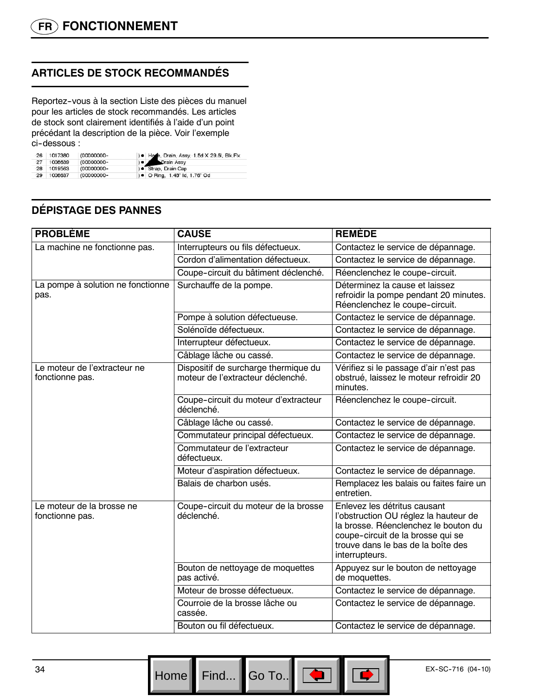# **ARTICLES DE STOCK RECOMMANDÉS**

Reportez--vous à la section Liste des pièces du manuel pour les articles de stock recommandés. Les articles de stock sont clairement identifiés à l'aide d'un point précédant la description de la pièce. Voir l'exemple ci-dessous :

| 26 | 1017380 | (00000000- | ) . Hose, Drain, Assy, 1.5d X 29.5l, Blk, Flx |
|----|---------|------------|-----------------------------------------------|
| 27 | 1008639 | (00000000- | Drain Assy                                    |
| 28 | 1019563 | (00000000- | ) · Strap, Drain Cap                          |
| 29 | 1008637 | (00000000- | ) • O Ring, 1.48" ld, 1.76" Od                |

# **DÉPISTAGE DES PANNES**

| <b>PROBLÈME</b>                                 | <b>CAUSE</b>                                                              | <b>REMÈDE</b>                                                                                                                                                                                              |
|-------------------------------------------------|---------------------------------------------------------------------------|------------------------------------------------------------------------------------------------------------------------------------------------------------------------------------------------------------|
| La machine ne fonctionne pas.                   | Interrupteurs ou fils défectueux.                                         | Contactez le service de dépannage.                                                                                                                                                                         |
|                                                 | Cordon d'alimentation défectueux.                                         | Contactez le service de dépannage.                                                                                                                                                                         |
|                                                 | Coupe-circuit du bâtiment déclenché.                                      | Réenclenchez le coupe-circuit.                                                                                                                                                                             |
| La pompe à solution ne fonctionne<br>pas.       | Surchauffe de la pompe.                                                   | Déterminez la cause et laissez<br>refroidir la pompe pendant 20 minutes.<br>Réenclenchez le coupe-circuit.                                                                                                 |
|                                                 | Pompe à solution défectueuse.                                             | Contactez le service de dépannage.                                                                                                                                                                         |
|                                                 | Solénoïde défectueux.                                                     | Contactez le service de dépannage.                                                                                                                                                                         |
|                                                 | Interrupteur défectueux.                                                  | Contactez le service de dépannage.                                                                                                                                                                         |
|                                                 | Câblage lâche ou cassé.                                                   | Contactez le service de dépannage.                                                                                                                                                                         |
| Le moteur de l'extracteur ne<br>fonctionne pas. | Dispositif de surcharge thermique du<br>moteur de l'extracteur déclenché. | Vérifiez si le passage d'air n'est pas<br>obstrué, laissez le moteur refroidir 20<br>minutes.                                                                                                              |
|                                                 | Coupe-circuit du moteur d'extracteur<br>déclenché.                        | Réenclenchez le coupe-circuit.                                                                                                                                                                             |
|                                                 | Câblage lâche ou cassé.                                                   | Contactez le service de dépannage.                                                                                                                                                                         |
|                                                 | Commutateur principal défectueux.                                         | Contactez le service de dépannage.                                                                                                                                                                         |
|                                                 | Commutateur de l'extracteur<br>défectueux.                                | Contactez le service de dépannage.                                                                                                                                                                         |
|                                                 | Moteur d'aspiration défectueux.                                           | Contactez le service de dépannage.                                                                                                                                                                         |
|                                                 | Balais de charbon usés.                                                   | Remplacez les balais ou faites faire un<br>entretien.                                                                                                                                                      |
| Le moteur de la brosse ne<br>fonctionne pas.    | Coupe-circuit du moteur de la brosse<br>déclenché.                        | Enlevez les détritus causant<br>l'obstruction OU réglez la hauteur de<br>la brosse. Réenclenchez le bouton du<br>coupe-circuit de la brosse qui se<br>trouve dans le bas de la boîte des<br>interrupteurs. |
|                                                 | Bouton de nettoyage de moquettes<br>pas activé.                           | Appuyez sur le bouton de nettoyage<br>de moquettes.                                                                                                                                                        |
|                                                 | Moteur de brosse défectueux.                                              | Contactez le service de dépannage.                                                                                                                                                                         |
|                                                 | Courroie de la brosse lâche ou<br>cassée.                                 | Contactez le service de dépannage.                                                                                                                                                                         |
|                                                 | Bouton ou fil défectueux.                                                 | Contactez le service de dépannage.                                                                                                                                                                         |

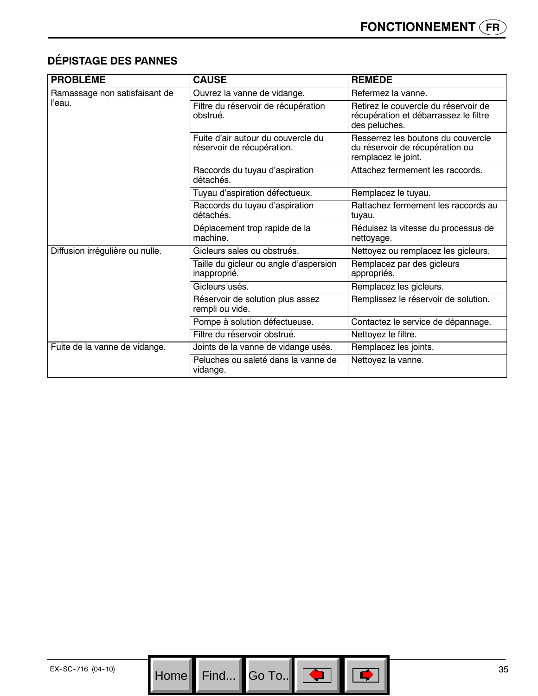# **DÉPISTAGE DES PANNES**

| <b>PROBLÈME</b>                 | <b>CAUSE</b>                                                     | <b>REMÈDE</b>                                                                                  |
|---------------------------------|------------------------------------------------------------------|------------------------------------------------------------------------------------------------|
| Ramassage non satisfaisant de   | Ouvrez la vanne de vidange.                                      | Refermez la vanne.                                                                             |
| l'eau.                          | Filtre du réservoir de récupération<br>obstrué.                  | Retirez le couvercle du réservoir de<br>récupération et débarrassez le filtre<br>des peluches. |
|                                 | Fuite d'air autour du couvercle du<br>réservoir de récupération. | Resserrez les boutons du couvercle<br>du réservoir de récupération ou<br>remplacez le joint.   |
|                                 | Raccords du tuyau d'aspiration<br>détachés.                      | Attachez fermement les raccords.                                                               |
|                                 | Tuyau d'aspiration défectueux.                                   | Remplacez le tuyau.                                                                            |
|                                 | Raccords du tuyau d'aspiration<br>détachés.                      | Rattachez fermement les raccords au<br>tuyau.                                                  |
|                                 | Déplacement trop rapide de la<br>machine.                        | Réduisez la vitesse du processus de<br>nettoyage.                                              |
| Diffusion irrégulière ou nulle. | Gicleurs sales ou obstrués.                                      | Nettoyez ou remplacez les gicleurs.                                                            |
|                                 | Taille du gicleur ou angle d'aspersion<br>inapproprié.           | Remplacez par des gicleurs<br>appropriés.                                                      |
|                                 | Gicleurs usés.                                                   | Remplacez les gicleurs.                                                                        |
|                                 | Réservoir de solution plus assez<br>rempli ou vide.              | Remplissez le réservoir de solution.                                                           |
|                                 | Pompe à solution défectueuse.                                    | Contactez le service de dépannage.                                                             |
|                                 | Filtre du réservoir obstrué.                                     | Nettoyez le filtre.                                                                            |
| Fuite de la vanne de vidange.   | Joints de la vanne de vidange usés.                              | Remplacez les joints.                                                                          |
|                                 | Peluches ou saleté dans la vanne de<br>vidange.                  | Nettoyez la vanne.                                                                             |